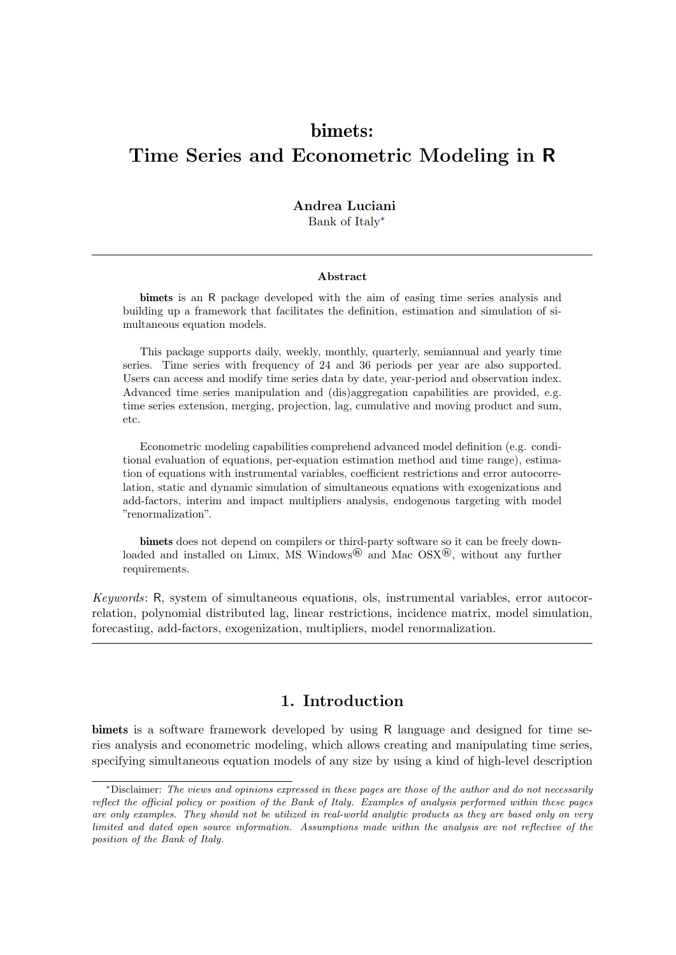# bimets: Time Series and Econometric Modeling in R

## Andrea Luciani

Bank of Italy<sup>∗</sup>

#### Abstract

bimets is an R package developed with the aim of easing time series analysis and building up a framework that facilitates the definition, estimation and simulation of simultaneous equation models.

This package supports daily, weekly, monthly, quarterly, semiannual and yearly time series. Time series with frequency of 24 and 36 periods per year are also supported. Users can access and modify time series data by date, year-period and observation index. Advanced time series manipulation and (dis)aggregation capabilities are provided, e.g. time series extension, merging, projection, lag, cumulative and moving product and sum, etc.

Econometric modeling capabilities comprehend advanced model definition (e.g. conditional evaluation of equations, per-equation estimation method and time range), estimation of equations with instrumental variables, coefficient restrictions and error autocorrelation, static and dynamic simulation of simultaneous equations with exogenizations and add-factors, interim and impact multipliers analysis, endogenous targeting with model "renormalization".

bimets does not depend on compilers or third-party software so it can be freely downloaded and installed on Linux, MS Windows<sup>®</sup> and Mac  $OSX^{®}$ , without any further requirements.

Keywords: R, system of simultaneous equations, ols, instrumental variables, error autocorrelation, polynomial distributed lag, linear restrictions, incidence matrix, model simulation, forecasting, add-factors, exogenization, multipliers, model renormalization.

# 1. Introduction

bimets is a software framework developed by using R language and designed for time series analysis and econometric modeling, which allows creating and manipulating time series, specifying simultaneous equation models of any size by using a kind of high-level description

<sup>∗</sup>Disclaimer: The views and opinions expressed in these pages are those of the author and do not necessarily reflect the official policy or position of the Bank of Italy. Examples of analysis performed within these pages are only examples. They should not be utilized in real-world analytic products as they are based only on very limited and dated open source information. Assumptions made within the analysis are not reflective of the position of the Bank of Italy.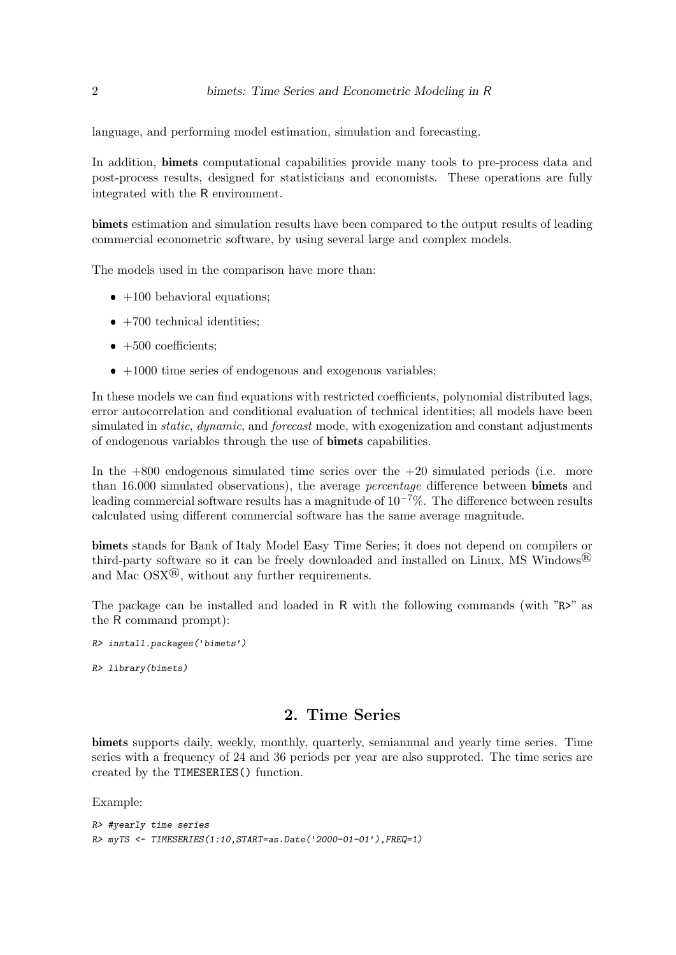language, and performing model estimation, simulation and forecasting.

In addition, **bimets** computational capabilities provide many tools to pre-process data and post-process results, designed for statisticians and economists. These operations are fully integrated with the R environment.

bimets estimation and simulation results have been compared to the output results of leading commercial econometric software, by using several large and complex models.

The models used in the comparison have more than:

- $\bullet$  +100 behavioral equations;
- $\bullet$  +700 technical identities;
- $\bullet$  +500 coefficients;
- $+1000$  time series of endogenous and exogenous variables;

In these models we can find equations with restricted coefficients, polynomial distributed lags, error autocorrelation and conditional evaluation of technical identities; all models have been simulated in *static, dynamic,* and *forecast* mode, with exogenization and constant adjustments of endogenous variables through the use of bimets capabilities.

In the  $+800$  endogenous simulated time series over the  $+20$  simulated periods (i.e. more than 16.000 simulated observations), the average *percentage* difference between **bimets** and leading commercial software results has a magnitude of  $10^{-7}\%$ . The difference between results calculated using different commercial software has the same average magnitude.

bimets stands for Bank of Italy Model Easy Time Series; it does not depend on compilers or third-party software so it can be freely downloaded and installed on Linux, MS Windows<sup>®</sup> and Mac  $OSX^{(8)}$ , without any further requirements.

The package can be installed and loaded in R with the following commands (with "R>" as the R command prompt):

```
R> install.packages('bimets')
R> library(bimets)
```
# 2. Time Series

bimets supports daily, weekly, monthly, quarterly, semiannual and yearly time series. Time series with a frequency of 24 and 36 periods per year are also supproted. The time series are created by the TIMESERIES() function.

Example:

```
R> #yearly time series
R \rightarrow myrS \leftarrow TIMESERIES(1:10, START=as. Date('2000-01-01'), FREQ=1)
```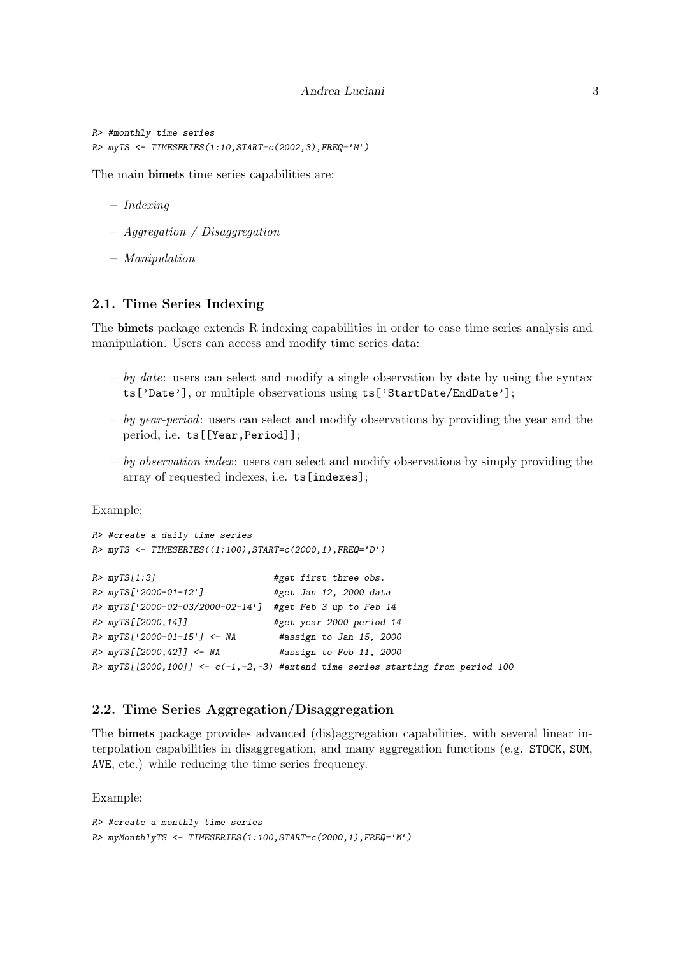```
R> #monthly time series
R > mvrS <- TIMESERIES(1:10, START=c(2002.3), FREQ='M')
```
The main bimets time series capabilities are:

- Indexing
- $-$  Aggregation / Disaggregation
- Manipulation

## 2.1. Time Series Indexing

The bimets package extends R indexing capabilities in order to ease time series analysis and manipulation. Users can access and modify time series data:

- by date: users can select and modify a single observation by date by using the syntax ts['Date'], or multiple observations using ts['StartDate/EndDate'];
- by year-period: users can select and modify observations by providing the year and the period, i.e. ts[[Year,Period]];
- $-$  by observation index: users can select and modify observations by simply providing the array of requested indexes, i.e. ts[indexes];

Example:

```
R> #create a daily time series
R> myTS <- TIMESERIES((1:100), START=c(2000, 1), FREQ='D')
R > myTS[1:3] #get first three obs.
R> myTS['2000-01-12'] #get Jan 12, 2000 data
R> myTS['2000-02-03/2000-02-14'] #get Feb 3 up to Feb 14
R> myTS[[2000,14]] #get year 2000 period 14
R> myTS['2000-01-15'] <- NA #assign to Jan 15, 2000
R> myTS[[2000,42]] <- NA #assign to Feb 11, 2000
R> myTS[[2000,100]] <- c(-1,-2,-3) #extend time series starting from period 100
```
## 2.2. Time Series Aggregation/Disaggregation

The bimets package provides advanced (dis)aggregation capabilities, with several linear interpolation capabilities in disaggregation, and many aggregation functions (e.g. STOCK, SUM, AVE, etc.) while reducing the time series frequency.

Example:

```
R> #create a monthly time series
R> myMonthlyTS <- TIMESERIES(1:100,START=c(2000,1),FREQ='M')
```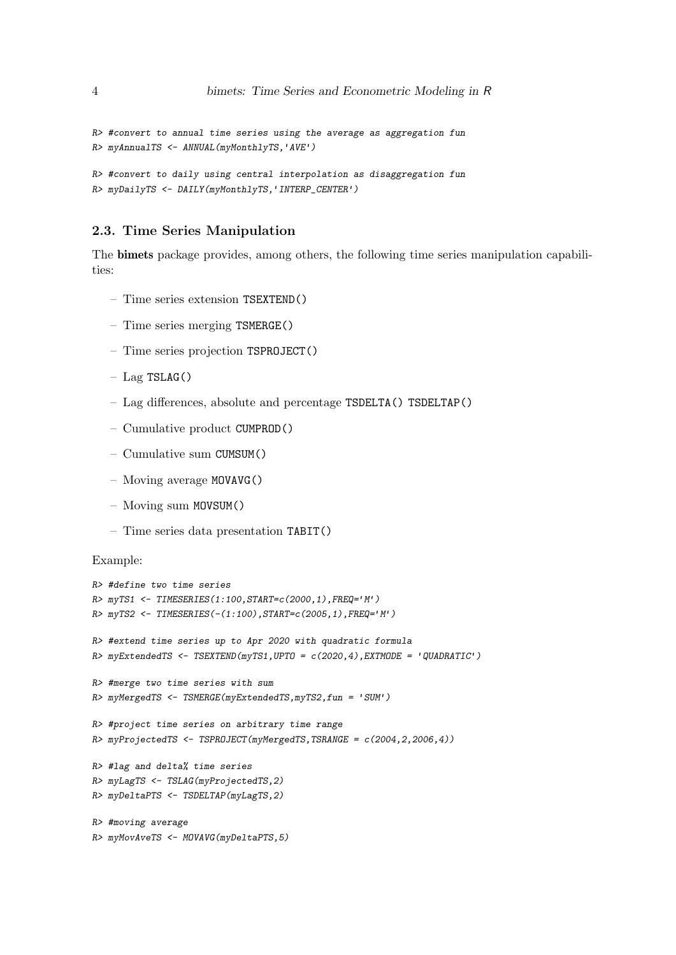```
R> #convert to annual time series using the average as aggregation fun
R> myAnnualTS <- ANNUAL(myMonthlyTS,'AVE')
```

```
R> #convert to daily using central interpolation as disaggregation fun
R> myDailyTS <- DAILY(myMonthlyTS,'INTERP_CENTER')
```
## 2.3. Time Series Manipulation

The bimets package provides, among others, the following time series manipulation capabilities:

- Time series extension TSEXTEND()
- Time series merging TSMERGE()
- Time series projection TSPROJECT()
- Lag TSLAG()
- Lag differences, absolute and percentage TSDELTA() TSDELTAP()
- Cumulative product CUMPROD()
- Cumulative sum CUMSUM()
- Moving average MOVAVG()
- Moving sum MOVSUM()
- Time series data presentation TABIT()

## Example:

```
R> #define two time series
R> myTS1 <- TIMESERIES(1:100,START=c(2000,1),FREQ='M')
R> myTS2 <- TIMESERIES(-(1:100),START=c(2005,1),FREQ='M')
R> #extend time series up to Apr 2020 with quadratic formula
R myExtendedTS <- TSEXTEND(myTS1, UPTO = c(2020, 4), EXTMODE = 'QUADRATIC')
R> #merge two time series with sum
R> myMergedTS <- TSMERGE(myExtendedTS,myTS2,fun = 'SUM')
R> #project time series on arbitrary time range
R> myProjectedTS <- TSPROJECT(myMergedTS,TSRANGE = c(2004,2,2006,4))
R> #lag and delta% time series
R> myLagTS <- TSLAG(myProjectedTS,2)
R> myDeltaPTS <- TSDELTAP(myLagTS,2)
R> #moving average
R> myMovAveTS <- MOVAVG(myDeltaPTS,5)
```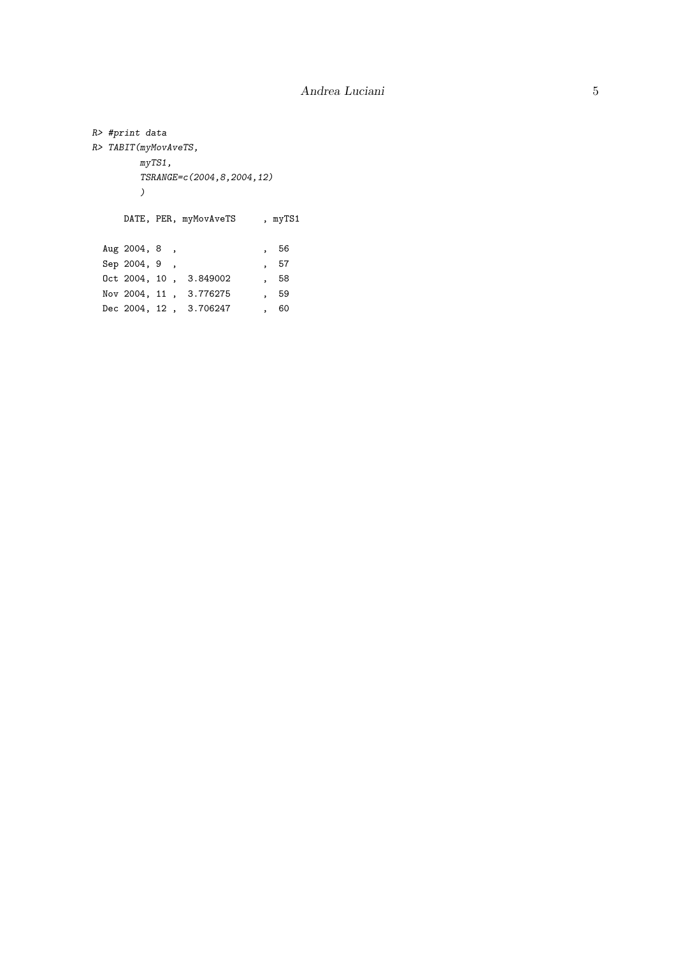```
R> #print data
R> TABIT(myMovAveTS,
        myTS1,
        TSRANGE=c(2004,8,2004,12)
        \overline{)}DATE, PER, myMovAveTS , myTS1
 Aug 2004, 8, 56<br>
Sep 2004, 9, 57<br>
Oct 2004, 15
  Sep 2004, 9, , 57
  0ct 2004, 10, 3.849002, 58
  Nov 2004, 11 , 3.776275 , 59
  Dec 2004, 12 , 3.706247 , 60
```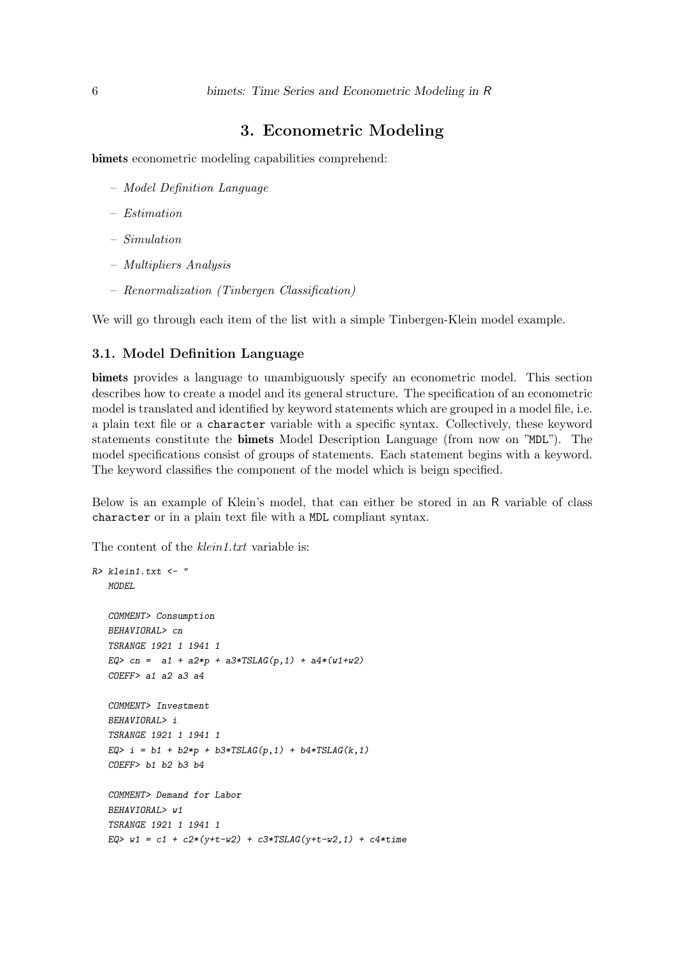# 3. Econometric Modeling

bimets econometric modeling capabilities comprehend:

- Model Definition Language
- Estimation
- Simulation
- Multipliers Analysis
- Renormalization (Tinbergen Classification)

We will go through each item of the list with a simple Tinbergen-Klein model example.

#### 3.1. Model Definition Language

bimets provides a language to unambiguously specify an econometric model. This section describes how to create a model and its general structure. The specification of an econometric model is translated and identified by keyword statements which are grouped in a model file, i.e. a plain text file or a character variable with a specific syntax. Collectively, these keyword statements constitute the bimets Model Description Language (from now on "MDL"). The model specifications consist of groups of statements. Each statement begins with a keyword. The keyword classifies the component of the model which is beign specified.

Below is an example of Klein's model, that can either be stored in an R variable of class character or in a plain text file with a MDL compliant syntax.

The content of the *klein1.txt* variable is:

```
R> klein1.txt \leq "
  MODEL
  COMMENT> Consumption
  BEHAVIORAL> cn
  TSRANGE 1921 1 1941 1
  EQ> cn = a1 + a2*p + a3*TSLAG(p, 1) + a4*(w1+w2)COEFF> a1 a2 a3 a4
  COMMENT> Investment
  BEHAVIORAL> i
  TSRANGE 1921 1 1941 1
  EQ> i = b1 + b2*p + b3*TSLAG(p, 1) + b4*TSLAG(k, 1)COEFF> b1 b2 b3 b4
   COMMENT> Demand for Labor
  BEHAVIORAL> w1
  TSRANGE 1921 1 1941 1
  EQ> w1 = c1 + c2*(y+t-w2) + c3*TSLAG(y+t-w2,1) + c4*time
```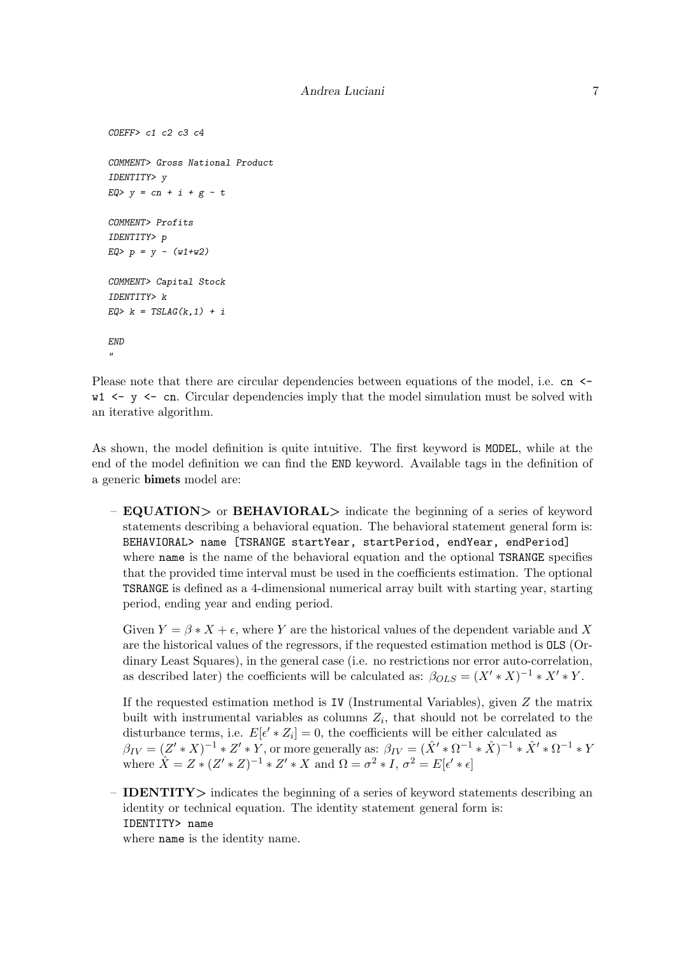```
COEFF> c1 c2 c3 c4
COMMENT> Gross National Product
IDENTITY> y
EQ > y = cn + i + g - tCOMMENT> Profits
IDENTITY> p
EQ> p = y - (w1+w2)COMMENT> Capital Stock
IDENTITY> k
EQ> k = TSLAG(k, 1) + iEND
\mathbf{u}
```
Please note that there are circular dependencies between equations of the model, i.e. cn  $\leq$  $w1 \leq y \leq cn$ . Circular dependencies imply that the model simulation must be solved with an iterative algorithm.

As shown, the model definition is quite intuitive. The first keyword is MODEL, while at the end of the model definition we can find the END keyword. Available tags in the definition of a generic bimets model are:

– **EQUATION**> or **BEHAVIORAL**> indicate the beginning of a series of keyword statements describing a behavioral equation. The behavioral statement general form is: BEHAVIORAL> name [TSRANGE startYear, startPeriod, endYear, endPeriod] where name is the name of the behavioral equation and the optional TSRANGE specifies that the provided time interval must be used in the coefficients estimation. The optional TSRANGE is defined as a 4-dimensional numerical array built with starting year, starting period, ending year and ending period.

Given  $Y = \beta * X + \epsilon$ , where Y are the historical values of the dependent variable and X are the historical values of the regressors, if the requested estimation method is OLS (Ordinary Least Squares), in the general case (i.e. no restrictions nor error auto-correlation, as described later) the coefficients will be calculated as:  $\beta_{OLS} = (X' * X)^{-1} * X' * Y$ .

If the requested estimation method is IV (Instrumental Variables), given  $Z$  the matrix built with instrumental variables as columns  $Z_i$ , that should not be correlated to the disturbance terms, i.e.  $E[\epsilon' * Z_i] = 0$ , the coefficients will be either calculated as  $\beta_{IV} = (Z' * X)^{-1} * Z' * Y$ , or more generally as:  $\beta_{IV} = (\hat{X}' * \Omega^{-1} * \hat{X})^{-1} * \hat{X}' * \Omega^{-1} * Y$ where  $\hat{X} = Z * (Z' * Z)^{-1} * Z' * X$  and  $\Omega = \sigma^2 * I$ ,  $\sigma^2 = E[\epsilon' * \epsilon]$ 

– IDENTITY> indicates the beginning of a series of keyword statements describing an identity or technical equation. The identity statement general form is: IDENTITY> name

where name is the identity name.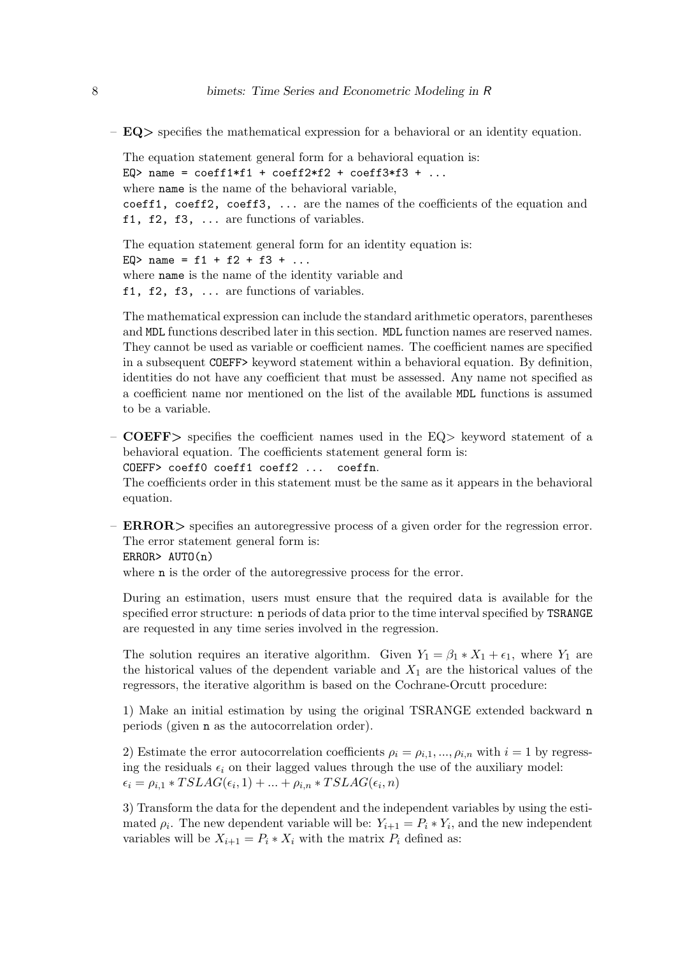$-$  EQ $>$  specifies the mathematical expression for a behavioral or an identity equation.

```
The equation statement general form for a behavioral equation is:
EQ> name = coeff1*f1 + coeff2*f2 + coeff3*f3 + ...where name is the name of the behavioral variable,
coeff1, coeff2, coeff3, ... are the names of the coefficients of the equation and
f1, f2, f3, ... are functions of variables.
```
The equation statement general form for an identity equation is: EQ> name =  $f1 + f2 + f3 + ...$ where **name** is the name of the identity variable and f1, f2, f3, ... are functions of variables.

The mathematical expression can include the standard arithmetic operators, parentheses and MDL functions described later in this section. MDL function names are reserved names. They cannot be used as variable or coefficient names. The coefficient names are specified in a subsequent COEFF> keyword statement within a behavioral equation. By definition, identities do not have any coefficient that must be assessed. Any name not specified as a coefficient name nor mentioned on the list of the available MDL functions is assumed to be a variable.

– COEFF> specifies the coefficient names used in the  $EQ$ > keyword statement of a behavioral equation. The coefficients statement general form is: COEFF> coeff0 coeff1 coeff2 ... coeffn.

The coefficients order in this statement must be the same as it appears in the behavioral equation.

– **ERROR**> specifies an autoregressive process of a given order for the regression error. The error statement general form is:

ERROR> AUTO(n)

where **n** is the order of the autoregressive process for the error.

During an estimation, users must ensure that the required data is available for the specified error structure: n periods of data prior to the time interval specified by TSRANGE are requested in any time series involved in the regression.

The solution requires an iterative algorithm. Given  $Y_1 = \beta_1 * X_1 + \epsilon_1$ , where  $Y_1$  are the historical values of the dependent variable and  $X_1$  are the historical values of the regressors, the iterative algorithm is based on the Cochrane-Orcutt procedure:

1) Make an initial estimation by using the original TSRANGE extended backward n periods (given n as the autocorrelation order).

2) Estimate the error autocorrelation coefficients  $\rho_i = \rho_{i,1},...,\rho_{i,n}$  with  $i = 1$  by regressing the residuals  $\epsilon_i$  on their lagged values through the use of the auxiliary model:  $\epsilon_i = \rho_{i,1} * TSLAG(\epsilon_i, 1) + ... + \rho_{i,n} * TSLAG(\epsilon_i, n)$ 

3) Transform the data for the dependent and the independent variables by using the estimated  $\rho_i$ . The new dependent variable will be:  $Y_{i+1} = P_i * Y_i$ , and the new independent variables will be  $X_{i+1} = P_i * X_i$  with the matrix  $P_i$  defined as: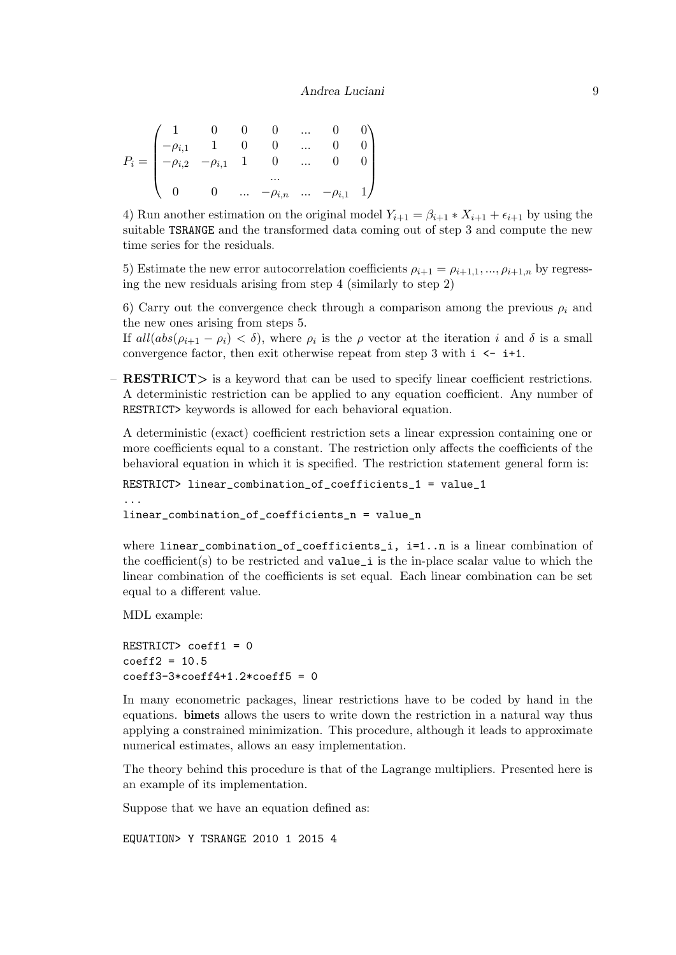$$
P_i = \begin{pmatrix} 1 & 0 & 0 & 0 & \dots & 0 & 0 \\ -\rho_{i,1} & 1 & 0 & 0 & \dots & 0 & 0 \\ -\rho_{i,2} & -\rho_{i,1} & 1 & 0 & \dots & 0 & 0 \\ & & & & & \dots & \\ 0 & 0 & \dots & -\rho_{i,n} & \dots & -\rho_{i,1} & 1 \end{pmatrix}
$$

4) Run another estimation on the original model  $Y_{i+1} = \beta_{i+1} * X_{i+1} + \epsilon_{i+1}$  by using the suitable TSRANGE and the transformed data coming out of step 3 and compute the new time series for the residuals.

5) Estimate the new error autocorrelation coefficients  $\rho_{i+1} = \rho_{i+1,1}, \dots, \rho_{i+1,n}$  by regressing the new residuals arising from step 4 (similarly to step 2)

6) Carry out the convergence check through a comparison among the previous  $\rho_i$  and the new ones arising from steps 5.

If  $all(abs(\rho_{i+1} - \rho_i) < \delta)$ , where  $\rho_i$  is the  $\rho$  vector at the iteration i and  $\delta$  is a small convergence factor, then exit otherwise repeat from step 3 with  $i \leq i+1$ .

– RESTRICT> is a keyword that can be used to specify linear coefficient restrictions. A deterministic restriction can be applied to any equation coefficient. Any number of RESTRICT> keywords is allowed for each behavioral equation.

A deterministic (exact) coefficient restriction sets a linear expression containing one or more coefficients equal to a constant. The restriction only affects the coefficients of the behavioral equation in which it is specified. The restriction statement general form is:

```
RESTRICT> linear_combination_of_coefficients_1 = value_1
...
```

```
linear_combination_of_coefficients_n = value_n
```
where linear\_combination\_of\_coefficients\_i, i=1..n is a linear combination of the coefficient(s) to be restricted and  $value_i$  is the in-place scalar value to which the linear combination of the coefficients is set equal. Each linear combination can be set equal to a different value.

MDL example:

```
RESTRICT> coeff1 = 0
coeff2 = 10.5coeff3-3*coeff4+1.2*coeff5 = 0
```
In many econometric packages, linear restrictions have to be coded by hand in the equations. bimets allows the users to write down the restriction in a natural way thus applying a constrained minimization. This procedure, although it leads to approximate numerical estimates, allows an easy implementation.

The theory behind this procedure is that of the Lagrange multipliers. Presented here is an example of its implementation.

Suppose that we have an equation defined as:

EQUATION> Y TSRANGE 2010 1 2015 4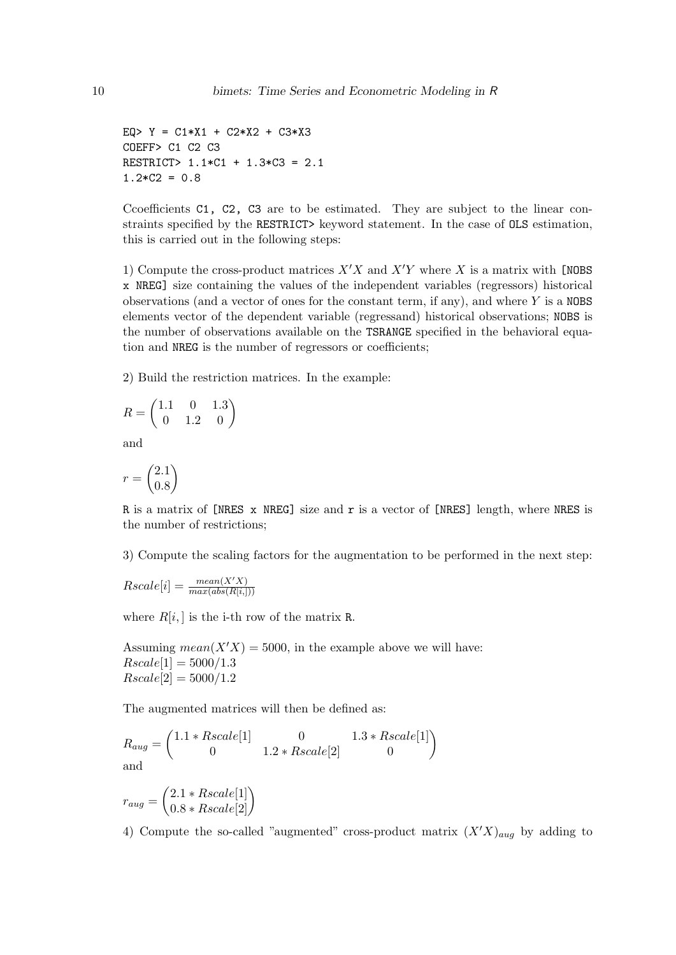```
EQ> Y = C1*X1 + C2*X2 + C3*X3COEFF> C1 C2 C3
RESTRICT> 1.1*C1 + 1.3*C3 = 2.1
1.2*C2 = 0.8
```
Ccoefficients C1, C2, C3 are to be estimated. They are subject to the linear constraints specified by the RESTRICT> keyword statement. In the case of OLS estimation, this is carried out in the following steps:

1) Compute the cross-product matrices  $X'X$  and  $X'Y$  where X is a matrix with [NOBS x NREG] size containing the values of the independent variables (regressors) historical observations (and a vector of ones for the constant term, if any), and where  $Y$  is a NOBS elements vector of the dependent variable (regressand) historical observations; NOBS is the number of observations available on the TSRANGE specified in the behavioral equation and NREG is the number of regressors or coefficients;

2) Build the restriction matrices. In the example:

$$
R = \begin{pmatrix} 1.1 & 0 & 1.3 \\ 0 & 1.2 & 0 \end{pmatrix}
$$

and

$$
r=\binom{2.1}{0.8}
$$

R is a matrix of [NRES x NREG] size and r is a vector of [NRES] length, where NRES is the number of restrictions;

3) Compute the scaling factors for the augmentation to be performed in the next step:

$$
Rscale[i] = \frac{mean(X'X)}{max(abs(R[i,]))}
$$

where  $R[i, ]$  is the i-th row of the matrix R.

Assuming  $mean(X'X) = 5000$ , in the example above we will have:  $Rscale[1] = 5000/1.3$  $Rscale[2] = 5000/1.2$ 

The augmented matrices will then be defined as:

$$
R_{aug} = \begin{pmatrix} 1.1 * Rscale[1] & 0 & 1.3 * Rscale[1] \\ 0 & 1.2 * Rscale[2] & 0 \end{pmatrix}
$$
 and

$$
r_{aug} = \begin{pmatrix} 2.1 * Rscale[1] \\ 0.8 * Rscale[2] \end{pmatrix}
$$

4) Compute the so-called "augmented" cross-product matrix  $(X'X)_{aug}$  by adding to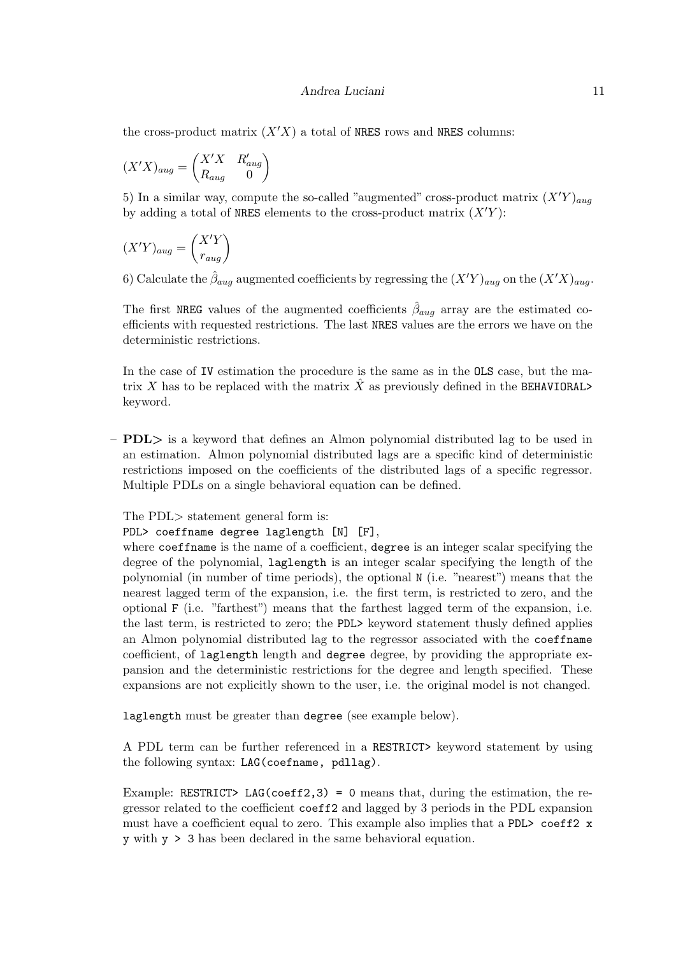the cross-product matrix  $(X'X)$  a total of NRES rows and NRES columns:

$$
(X'X)_{aug} = \begin{pmatrix} X'X & R'_{aug} \\ R_{aug} & 0 \end{pmatrix}
$$

5) In a similar way, compute the so-called "augmented" cross-product matrix  $(X<sup>'Y</sup>)<sub>auq</sub>$ by adding a total of NRES elements to the cross-product matrix  $(X<sup>'</sup>Y)$ :

$$
(X'Y)_{aug} = \begin{pmatrix} X'Y \\ r_{aug} \end{pmatrix}
$$

6) Calculate the  $\hat{\beta}_{aug}$  augmented coefficients by regressing the  $(X'Y)_{aug}$  on the  $(X'X)_{aug}$ .

The first NREG values of the augmented coefficients  $\hat{\beta}_{aug}$  array are the estimated coefficients with requested restrictions. The last NRES values are the errors we have on the deterministic restrictions.

In the case of IV estimation the procedure is the same as in the OLS case, but the matrix X has to be replaced with the matrix  $\hat{X}$  as previously defined in the BEHAVIORAL> keyword.

 $-$  PDL $>$  is a keyword that defines an Almon polynomial distributed lag to be used in an estimation. Almon polynomial distributed lags are a specific kind of deterministic restrictions imposed on the coefficients of the distributed lags of a specific regressor. Multiple PDLs on a single behavioral equation can be defined.

The PDL> statement general form is:

#### PDL> coeffname degree laglength [N] [F],

where coeffname is the name of a coefficient, degree is an integer scalar specifying the degree of the polynomial, laglength is an integer scalar specifying the length of the polynomial (in number of time periods), the optional N (i.e. "nearest") means that the nearest lagged term of the expansion, i.e. the first term, is restricted to zero, and the optional F (i.e. "farthest") means that the farthest lagged term of the expansion, i.e. the last term, is restricted to zero; the PDL> keyword statement thusly defined applies an Almon polynomial distributed lag to the regressor associated with the coeffname coefficient, of laglength length and degree degree, by providing the appropriate expansion and the deterministic restrictions for the degree and length specified. These expansions are not explicitly shown to the user, i.e. the original model is not changed.

laglength must be greater than degree (see example below).

A PDL term can be further referenced in a RESTRICT> keyword statement by using the following syntax: LAG(coefname, pdllag).

Example: RESTRICT> LAG(coeff2,3) = 0 means that, during the estimation, the regressor related to the coefficient coeff2 and lagged by 3 periods in the PDL expansion must have a coefficient equal to zero. This example also implies that a PDL> coeff2 x y with y > 3 has been declared in the same behavioral equation.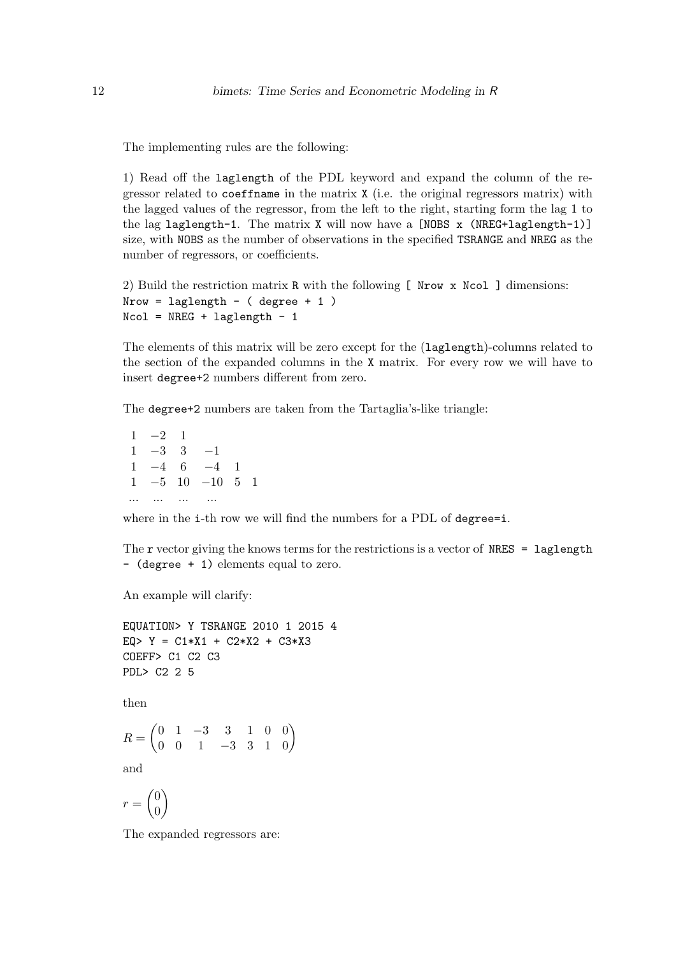The implementing rules are the following:

1) Read off the laglength of the PDL keyword and expand the column of the regressor related to coeffname in the matrix X (i.e. the original regressors matrix) with the lagged values of the regressor, from the left to the right, starting form the lag 1 to the lag laglength-1. The matrix  $X$  will now have a [NOBS  $x$  (NREG+laglength-1)] size, with NOBS as the number of observations in the specified TSRANGE and NREG as the number of regressors, or coefficients.

2) Build the restriction matrix R with the following [ Nrow x Ncol ] dimensions:  $Nrow = laglength - (degree + 1)$  $Ncol = NREG + laglength - 1$ 

The elements of this matrix will be zero except for the (laglength)-columns related to the section of the expanded columns in the X matrix. For every row we will have to insert degree+2 numbers different from zero.

The degree+2 numbers are taken from the Tartaglia's-like triangle:

 $1 -2 1$  $1 -3 3 -1$  $1 -4 6 -4 1$ 1 −5 10 −10 5 1 ... ... ... ...

where in the i-th row we will find the numbers for a PDL of degree=i.

The r vector giving the knows terms for the restrictions is a vector of  $NRES = \text{laglength}$ - (degree + 1) elements equal to zero.

An example will clarify:

```
EQUATION> Y TSRANGE 2010 1 2015 4
EQ> Y = C1*X1 + C2*X2 + C3*X3COEFF> C1 C2 C3
PDL> C2 2 5
then
R = \begin{pmatrix} 0 & 1 & -3 & 3 & 1 & 0 & 0 \\ 0 & 0 & 1 & -3 & 3 & 1 & 0 \end{pmatrix}and
r = \begin{pmatrix} 0 \\ 0 \end{pmatrix}0
           \setminus
```
The expanded regressors are: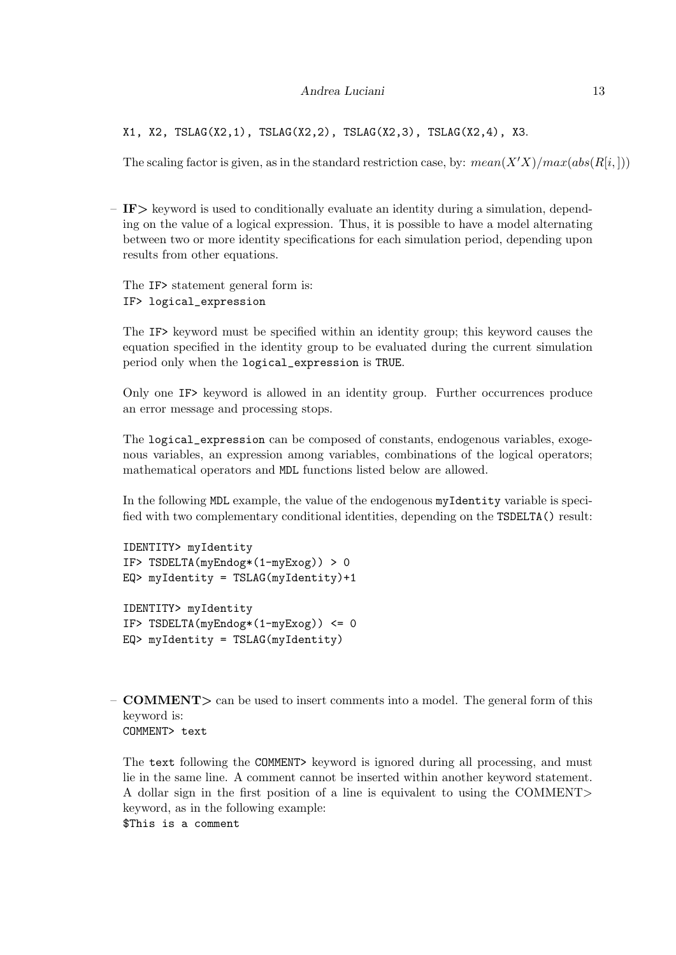#### Andrea Luciani 13

X1, X2, TSLAG(X2,1), TSLAG(X2,2), TSLAG(X2,3), TSLAG(X2,4), X3.

The scaling factor is given, as in the standard restriction case, by:  $mean(X'X)/max(abs(R[i,]))$ 

 $-$  IF $>$  keyword is used to conditionally evaluate an identity during a simulation, depending on the value of a logical expression. Thus, it is possible to have a model alternating between two or more identity specifications for each simulation period, depending upon results from other equations.

The IF> statement general form is: IF> logical\_expression

The IF> keyword must be specified within an identity group; this keyword causes the equation specified in the identity group to be evaluated during the current simulation period only when the logical\_expression is TRUE.

Only one IF> keyword is allowed in an identity group. Further occurrences produce an error message and processing stops.

The logical\_expression can be composed of constants, endogenous variables, exogenous variables, an expression among variables, combinations of the logical operators; mathematical operators and MDL functions listed below are allowed.

In the following MDL example, the value of the endogenous myIdentity variable is specified with two complementary conditional identities, depending on the TSDELTA() result:

```
IDENTITY> myIdentity
IF> TSDELTA(myEndog*(1-myExog)) > 0
EQ> myIdentity = TSLAG(myIdentity) + 1IDENTITY> myIdentity
IF> TSDELTA(myEndog*(1-myExog)) <= 0
EQ> myIdentity = TSLAG(myIdentity)
```
 $-$  **COMMENT** $>$  can be used to insert comments into a model. The general form of this keyword is: COMMENT> text

The text following the COMMENT> keyword is ignored during all processing, and must lie in the same line. A comment cannot be inserted within another keyword statement. A dollar sign in the first position of a line is equivalent to using the COMMENT> keyword, as in the following example:

\$This is a comment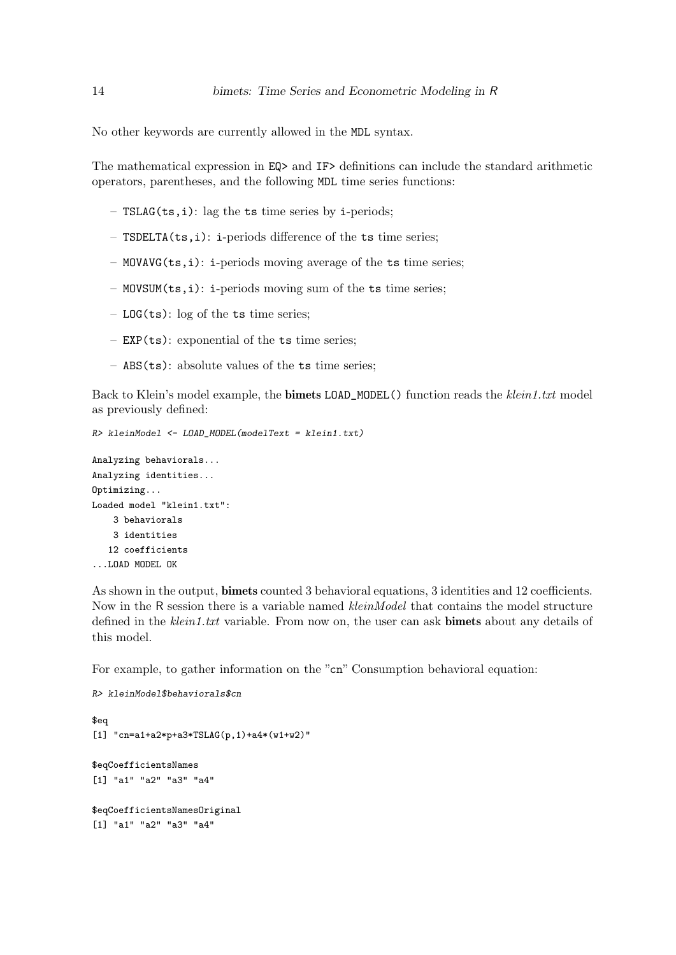No other keywords are currently allowed in the MDL syntax.

The mathematical expression in EQ> and IF> definitions can include the standard arithmetic operators, parentheses, and the following MDL time series functions:

- TSLAG(ts,i): lag the ts time series by i-periods;
- TSDELTA(ts,i): i-periods difference of the ts time series;
- MOVAVG(ts,i): i-periods moving average of the ts time series;
- MOVSUM(ts,i): i-periods moving sum of the ts time series;
- $-$  LOG(ts): log of the ts time series;
- EXP(ts): exponential of the ts time series;
- ABS(ts): absolute values of the ts time series;

Back to Klein's model example, the **bimets LOAD\_MODEL()** function reads the klein1.txt model as previously defined:

```
R> kleinModel <- LOAD_MODEL(modelText = klein1.txt)
```

```
Analyzing behaviorals...
Analyzing identities...
Optimizing...
Loaded model "klein1.txt":
    3 behaviorals
    3 identities
   12 coefficients
...LOAD MODEL OK
```
As shown in the output, bimets counted 3 behavioral equations, 3 identities and 12 coefficients. Now in the R session there is a variable named *kleinModel* that contains the model structure defined in the klein1.txt variable. From now on, the user can ask **bimets** about any details of this model.

For example, to gather information on the "cn" Consumption behavioral equation:

```
R> kleinModel$behaviorals$cn
$eq
[1] "cn=a1+a2*p+a3*TSLAG(p,1)+a4*(w1+w2)"
$eqCoefficientsNames
[1] "a1" "a2" "a3" "a4"
$eqCoefficientsNamesOriginal
[1] "a1" "a2" "a3" "a4"
```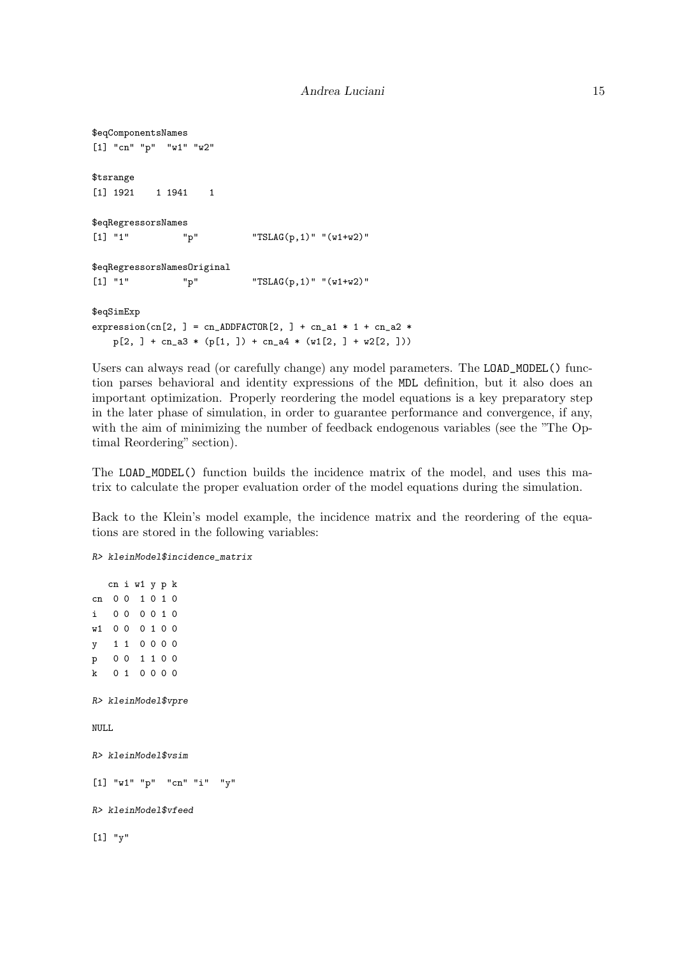```
$eqComponentsNames
[1] "cn" "p" "w1" "w2"
$tsrange
[1] 1921 1 1941 1
$eqRegressorsNames
[1] "1" "p" "TSLAG(p,1)" "(w1+w2)"
$eqRegressorsNamesOriginal
[1] "1" "p" "TSLAG(p,1)" "(w1+w2)"
$eqSimExp
expression(cn[2, ] = cn_{ADDFACTOR}[2, ] + cn_{a1} * 1 + cn_{a2} *p[2, ] + cn_a3 * (p[1, ]) + cn_a4 * (w1[2, ] + w2[2, ]))
```
Users can always read (or carefully change) any model parameters. The LOAD\_MODEL() function parses behavioral and identity expressions of the MDL definition, but it also does an important optimization. Properly reordering the model equations is a key preparatory step in the later phase of simulation, in order to guarantee performance and convergence, if any, with the aim of minimizing the number of feedback endogenous variables (see the "The Optimal Reordering" section).

The LOAD\_MODEL() function builds the incidence matrix of the model, and uses this matrix to calculate the proper evaluation order of the model equations during the simulation.

Back to the Klein's model example, the incidence matrix and the reordering of the equations are stored in the following variables:

```
R> kleinModel$incidence_matrix
  cn i w1 y p k
cn 0 0 1 0 1 0
i 0 0 0 0 1 0
w1 0 0 0 1 0 0
y 1 1 0 0 0 0
p 0 0 1 1 0 0
k 0 1 0 0 0 0
R> kleinModel$vpre
NULL.
R> kleinModel$vsim
[1] "w1" "p" "cn" "i" "y"
R> kleinModel$vfeed
[1] "y"
```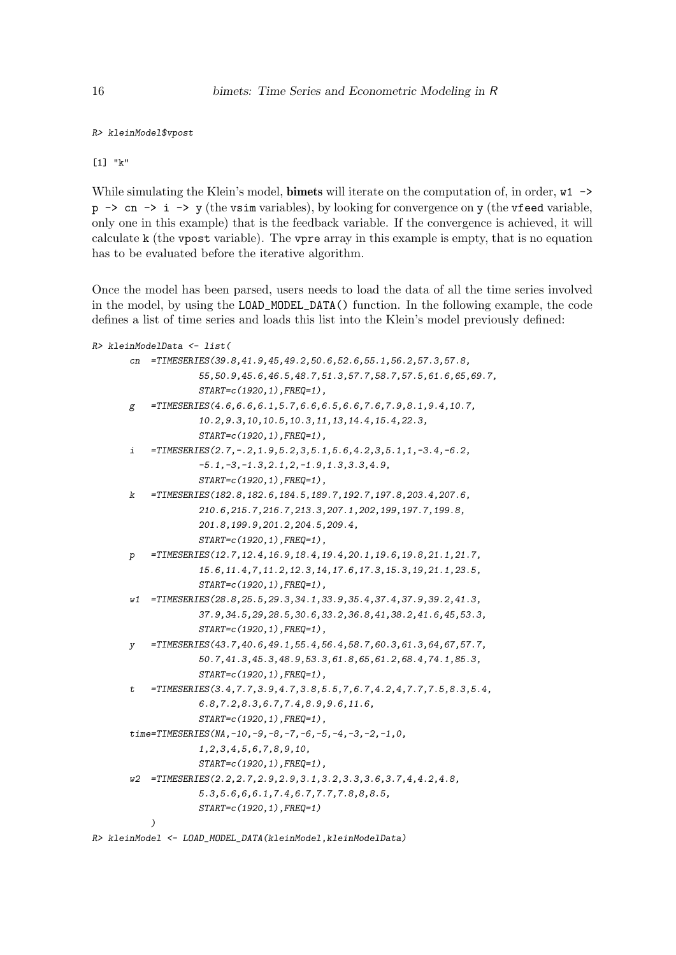```
R> kleinModel$vpost
```
[1] "k"

While simulating the Klein's model, **bimets** will iterate on the computation of, in order,  $w1 \rightarrow$  $p \rightarrow cn \rightarrow i \rightarrow y$  (the vsim variables), by looking for convergence on y (the vfeed variable, only one in this example) that is the feedback variable. If the convergence is achieved, it will calculate k (the vpost variable). The vpre array in this example is empty, that is no equation has to be evaluated before the iterative algorithm.

Once the model has been parsed, users needs to load the data of all the time series involved in the model, by using the LOAD\_MODEL\_DATA() function. In the following example, the code defines a list of time series and loads this list into the Klein's model previously defined:

```
R> kleinModelData <- list(
       cn =TIMESERIES(39.8,41.9,45,49.2,50.6,52.6,55.1,56.2,57.3,57.8,
                    55,50.9,45.6,46.5,48.7,51.3,57.7,58.7,57.5,61.6,65,69.7,
                    START=c(1920,1),FREQ=1),
       g = TIMESERIES(4.6, 6.6, 6.1, 5.7, 6.6, 6.5, 6.6, 7.6, 7.9, 8.1, 9.4, 10.7,10.2,9.3,10,10.5,10.3,11,13,14.4,15.4,22.3,
                    START=c(1920,1),FREQ=1),
       i = TIMESERIES(2.7, -.2, 1.9, 5.2, 3, 5.1, 5.6, 4.2, 3, 5.1, 1, -3.4, -6.2,-5.1,-3,-1.3,2.1,2,-1.9,1.3,3.3,4.9,
                    START=c(1920,1),FREQ=1),
       k =TIMESERIES(182.8,182.6,184.5,189.7,192.7,197.8,203.4,207.6,
                    210.6,215.7,216.7,213.3,207.1,202,199,197.7,199.8,
                    201.8,199.9,201.2,204.5,209.4,
                    START=c(1920,1),FREQ=1),
       p =TIMESERIES(12.7,12.4,16.9,18.4,19.4,20.1,19.6,19.8,21.1,21.7,
                    15.6,11.4,7,11.2,12.3,14,17.6,17.3,15.3,19,21.1,23.5,
                    START=c(1920,1),FREQ=1),
       w1 =TIMESERIES(28.8,25.5,29.3,34.1,33.9,35.4,37.4,37.9,39.2,41.3,
                    37.9,34.5,29,28.5,30.6,33.2,36.8,41,38.2,41.6,45,53.3,
                    START=c(1920,1),FREQ=1),
       y =TIMESERIES(43.7,40.6,49.1,55.4,56.4,58.7,60.3,61.3,64,67,57.7,
                    50.7,41.3,45.3,48.9,53.3,61.8,65,61.2,68.4,74.1,85.3,
                    START=c(1920,1),FREQ=1),
       t =TIMESERIES(3.4,7.7,3.9,4.7,3.8,5.5,7,6.7,4.2,4,7.7,7.5,8.3,5.4,
                    6.8,7.2,8.3,6.7,7.4,8.9,9.6,11.6,
                    START=c(1920,1),FREQ=1),
       time=TIMESERIES(NA,-10,-9,-8,-7,-6,-5,-4,-3,-2,-1,0,
                    1,2,3,4,5,6,7,8,9,10,
                    START=c(1920,1),FREQ=1),
       w2 =TIMESERIES(2.2,2.7,2.9,2.9,3.1,3.2,3.3,3.6,3.7,4,4.2,4.8,
                    5.3,5.6,6,6.1,7.4,6.7,7.7,7.8,8,8.5,
                    START=c(1920,1),FREQ=1)
           )
R> kleinModel <- LOAD_MODEL_DATA(kleinModel,kleinModelData)
```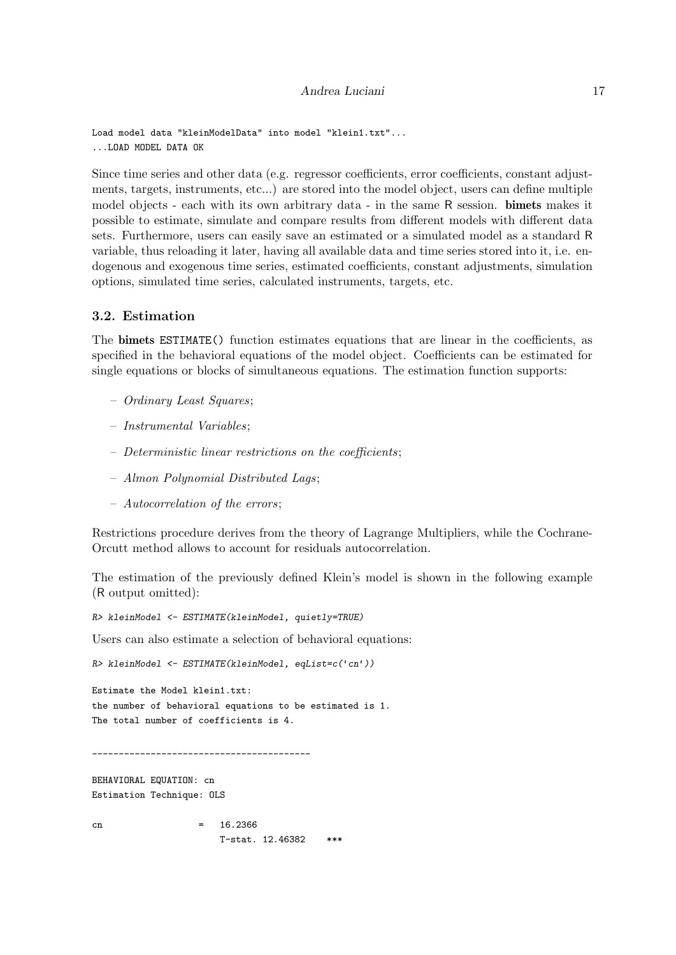#### Andrea Luciani 17

```
Load model data "kleinModelData" into model "klein1.txt"...
...LOAD MODEL DATA OK
```
Since time series and other data (e.g. regressor coefficients, error coefficients, constant adjustments, targets, instruments, etc...) are stored into the model object, users can define multiple model objects - each with its own arbitrary data - in the same R session. bimets makes it possible to estimate, simulate and compare results from different models with different data sets. Furthermore, users can easily save an estimated or a simulated model as a standard R variable, thus reloading it later, having all available data and time series stored into it, i.e. endogenous and exogenous time series, estimated coefficients, constant adjustments, simulation options, simulated time series, calculated instruments, targets, etc.

## 3.2. Estimation

The bimets ESTIMATE() function estimates equations that are linear in the coefficients, as specified in the behavioral equations of the model object. Coefficients can be estimated for single equations or blocks of simultaneous equations. The estimation function supports:

- Ordinary Least Squares;
- Instrumental Variables;
- Deterministic linear restrictions on the coefficients;
- Almon Polynomial Distributed Lags;
- Autocorrelation of the errors;

Restrictions procedure derives from the theory of Lagrange Multipliers, while the Cochrane-Orcutt method allows to account for residuals autocorrelation.

The estimation of the previously defined Klein's model is shown in the following example (R output omitted):

R> kleinModel <- ESTIMATE(kleinModel, quietly=TRUE)

Users can also estimate a selection of behavioral equations:

```
R> kleinModel <- ESTIMATE(kleinModel, eqList=c('cn'))
```
Estimate the Model klein1.txt: the number of behavioral equations to be estimated is 1. The total number of coefficients is 4.

\_\_\_\_\_\_\_\_\_\_\_\_\_\_\_\_\_\_\_\_\_\_\_\_\_\_\_\_\_\_\_\_\_\_\_\_\_\_\_\_\_

BEHAVIORAL EQUATION: cn Estimation Technique: OLS

```
cn = 16.2366T-stat. 12.46382 ***
```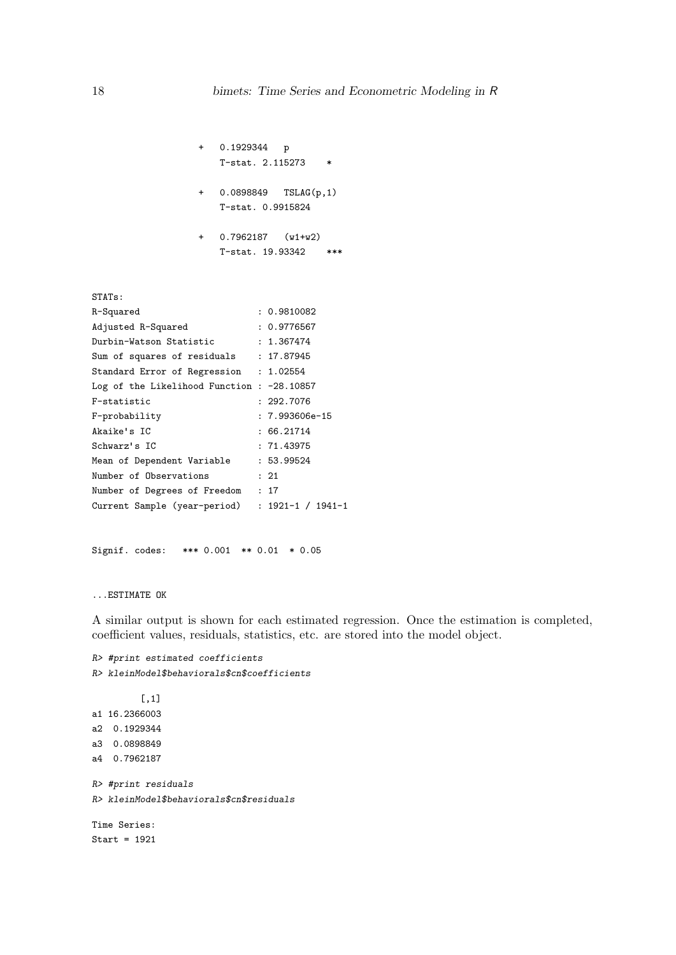```
+ 0.1929344 p
   T-stat. 2.115273 *
+ 0.0898849 TSLAG(p,1)
   T-stat. 0.9915824
```
+ 0.7962187 (w1+w2) T-stat. 19.93342 \*\*\*

STATs: R-Squared : 0.9810082 Adjusted R-Squared : 0.9776567 Durbin-Watson Statistic : 1.367474 Sum of squares of residuals : 17.87945 Standard Error of Regression : 1.02554 Log of the Likelihood Function : -28.10857 F-statistic : 292.7076 F-probability : 7.993606e-15 Akaike's IC : 66.21714 Schwarz's IC : 71.43975 Mean of Dependent Variable : 53.99524 Number of Observations : 21 Number of Degrees of Freedom : 17 Current Sample (year-period) : 1921-1 / 1941-1

Signif. codes: \*\*\* 0.001 \*\* 0.01 \* 0.05

#### ...ESTIMATE OK

A similar output is shown for each estimated regression. Once the estimation is completed, coefficient values, residuals, statistics, etc. are stored into the model object.

```
R> #print estimated coefficients
R> kleinModel$behaviorals$cn$coefficients
         [,1]
a1 16.2366003
a2 0.1929344
a3 0.0898849
a4 0.7962187
R> #print residuals
R> kleinModel$behaviorals$cn$residuals
Time Series:
Start = 1921
```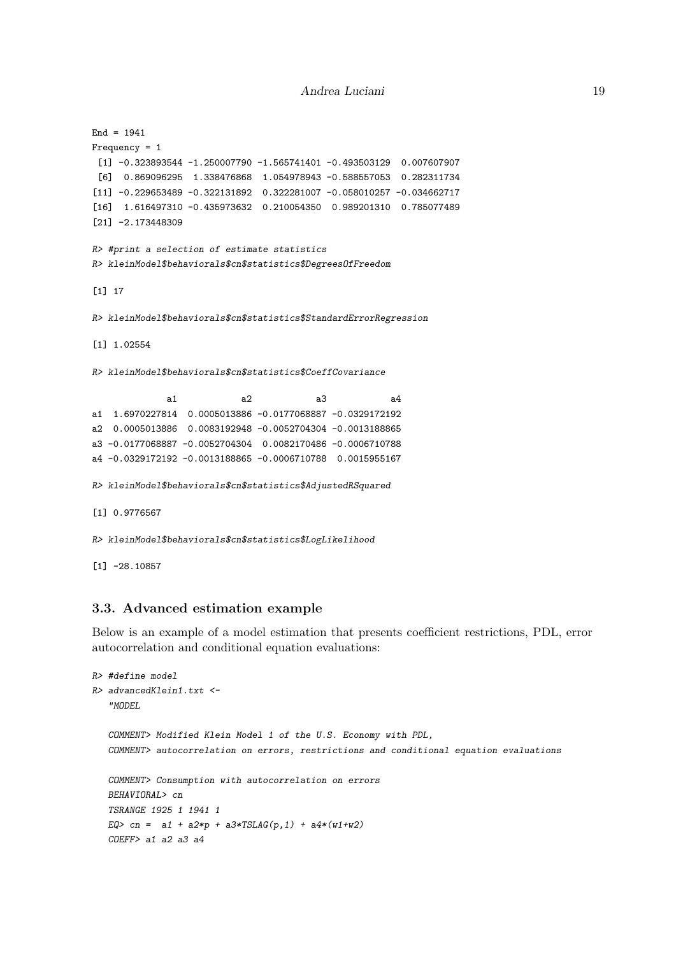```
End = 1941Frequency = 1
 [1] -0.323893544 -1.250007790 -1.565741401 -0.493503129 0.007607907[6] 0.869096295 1.338476868 1.054978943 -0.588557053 0.282311734
[11] -0.229653489 -0.322131892 0.322281007 -0.058010257 -0.034662717
[16] 1.616497310 -0.435973632 0.210054350 0.989201310 0.785077489
[21] -2.173448309
R> #print a selection of estimate statistics
R> kleinModel$behaviorals$cn$statistics$DegreesOfFreedom
[1] 17
R> kleinModel$behaviorals$cn$statistics$StandardErrorRegression
[1] 1.02554
R> kleinModel$behaviorals$cn$statistics$CoeffCovariance
             a1 a2 a3 a4
a1 1.6970227814 0.0005013886 -0.0177068887 -0.0329172192
a2 0.0005013886 0.0083192948 -0.0052704304 -0.0013188865
a3 -0.0177068887 -0.0052704304 0.0082170486 -0.0006710788
a4 -0.0329172192 -0.0013188865 -0.0006710788 0.0015955167
R> kleinModel$behaviorals$cn$statistics$AdjustedRSquared
[1] 0.9776567
R> kleinModel$behaviorals$cn$statistics$LogLikelihood
[1] -28.10857
```
## 3.3. Advanced estimation example

Below is an example of a model estimation that presents coefficient restrictions, PDL, error autocorrelation and conditional equation evaluations:

```
R> #define model
R> advancedKlein1.txt <-
   "MODEL
   COMMENT> Modified Klein Model 1 of the U.S. Economy with PDL,
   COMMENT> autocorrelation on errors, restrictions and conditional equation evaluations
   COMMENT> Consumption with autocorrelation on errors
   BEHAVIORAL> cn
   TSRANGE 1925 1 1941 1
  EQ> cn = a1 + a2*p + a3*TSLAG(p, 1) + a4*(w1+w2)COEFF> a1 a2 a3 a4
```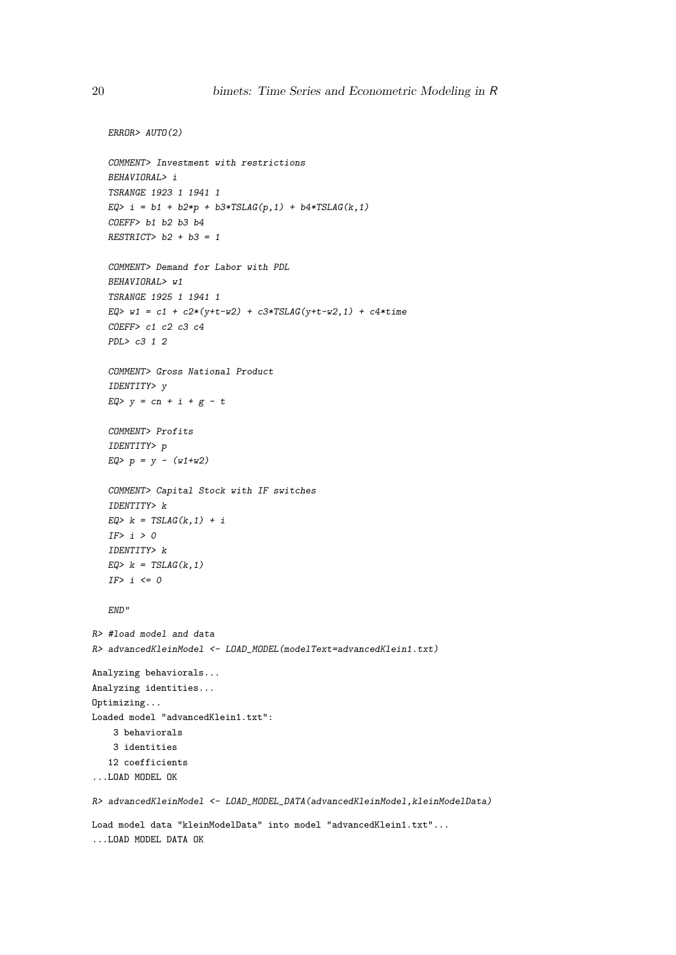```
ERROR> AUTO(2)
   COMMENT> Investment with restrictions
   BEHAVIORAL> i
   TSRANGE 1923 1 1941 1
   EQ> i = b1 + b2*p + b3*TSLAG(p, 1) + b4*TSLAG(k, 1)COEFF> b1 b2 b3 b4
   RESTRICT> b2 + b3 = 1COMMENT> Demand for Labor with PDL
   BEHAVIORAL> w1
   TSRANGE 1925 1 1941 1
   EQ> w1 = c1 + c2*(y+t-w2) + c3*TSLAG(y+t-w2,1) + c4*time
   COEFF> c1 c2 c3 c4
  PDL> c3 1 2
   COMMENT> Gross National Product
   IDENTITY> y
   EQ > y = cn + i + g - tCOMMENT> Profits
   IDENTITY> p
   EQ> p = y - (w1+w2)COMMENT> Capital Stock with IF switches
   IDENTITY> k
   EQ> k = TSLAG(k, 1) + iIF> i > 0IDENTITY> k
   EQ> k = TSLAG(k, 1)IF> i \le 0END"
R> #load model and data
R> advancedKleinModel <- LOAD_MODEL(modelText=advancedKlein1.txt)
Analyzing behaviorals...
Analyzing identities...
Optimizing...
Loaded model "advancedKlein1.txt":
    3 behaviorals
   3 identities
  12 coefficients
...LOAD MODEL OK
R> advancedKleinModel <- LOAD_MODEL_DATA(advancedKleinModel,kleinModelData)
Load model data "kleinModelData" into model "advancedKlein1.txt"...
...LOAD MODEL DATA OK
```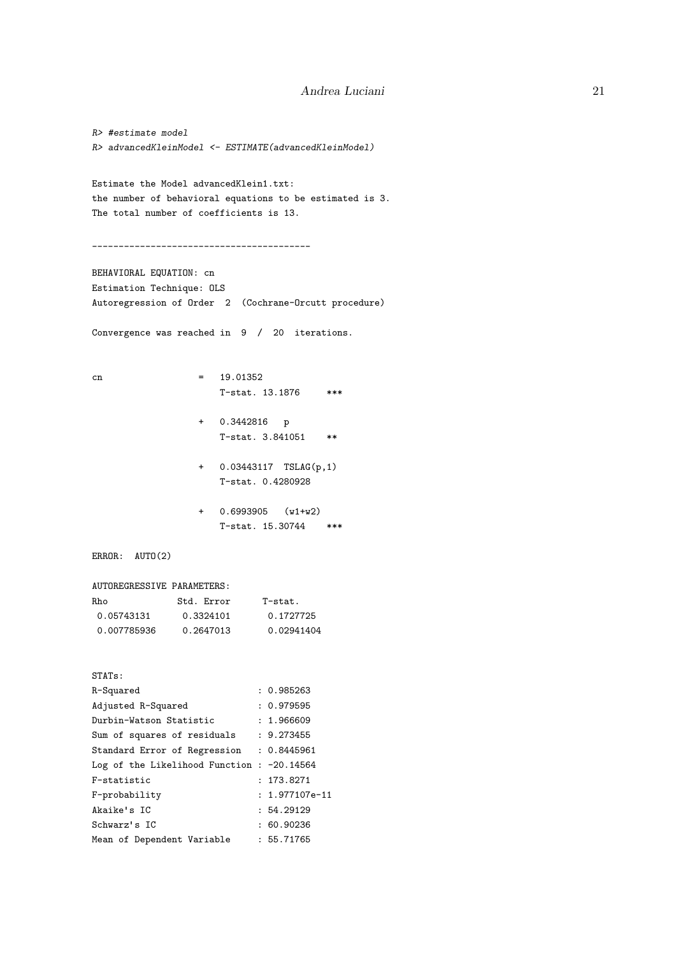```
R> #estimate model
R> advancedKleinModel <- ESTIMATE(advancedKleinModel)
Estimate the Model advancedKlein1.txt:
the number of behavioral equations to be estimated is 3.
The total number of coefficients is 13.
_________________________________________
BEHAVIORAL EQUATION: cn
Estimation Technique: OLS
Autoregression of Order 2 (Cochrane-Orcutt procedure)
Convergence was reached in 9 / 20 iterations.
cn = 19.01352T-stat. 13.1876 ***
                 + 0.3442816 p
                    T-stat. 3.841051 **
                 + 0.03443117 TSLAG(p,1)
                    T-stat. 0.4280928
                 + 0.6993905 (w1+w2)
                    T-stat. 15.30744 ***
ERROR: AUTO(2)
AUTOREGRESSIVE PARAMETERS:
Rho Std. Error T-stat.
 0.05743131 0.3324101 0.1727725
 0.007785936 0.2647013 0.02941404
STATs:
R-Squared : 0.985263
Adjusted R-Squared : 0.979595<br>Durbin-Watson Statistic : 1.966609
Durbin-Watson Statistic
Sum of squares of residuals : 9.273455
Standard Error of Regression : 0.8445961
Log of the Likelihood Function : -20.14564
F-statistic : 173.8271
F-probability : 1.977107e-11
Akaike's IC : 54.29129
Schwarz's IC : 60.90236
Mean of Dependent Variable : 55.71765
```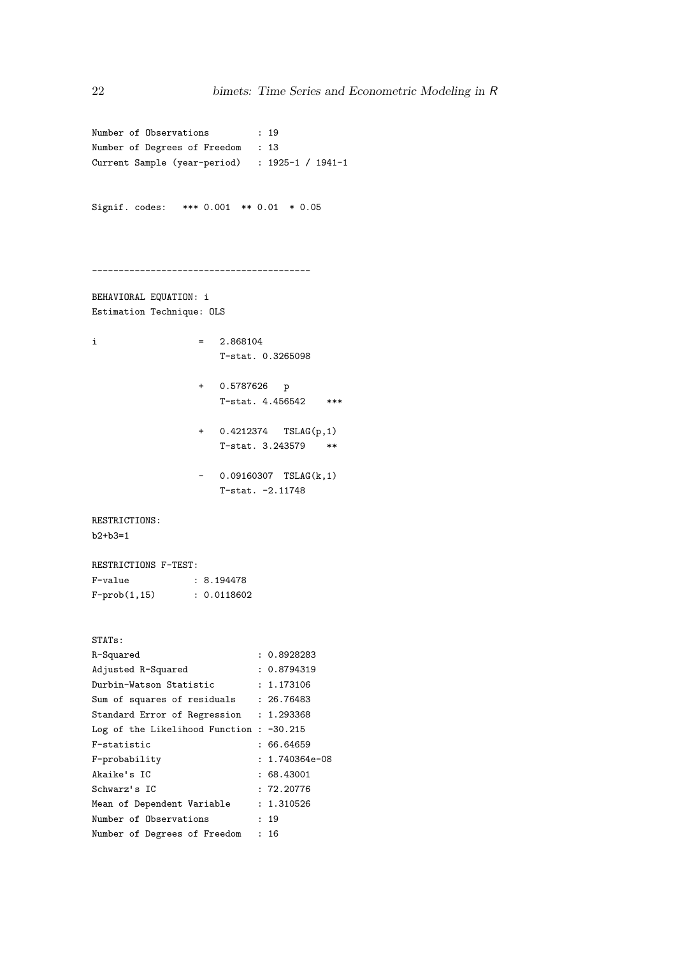Number of Observations : 19 Number of Degrees of Freedom : 13 Current Sample (year-period) : 1925-1 / 1941-1 Signif. codes: \*\*\* 0.001 \*\* 0.01 \* 0.05 \_\_\_\_\_\_\_\_\_\_\_\_\_\_\_\_\_\_\_\_\_\_\_\_\_\_\_\_\_\_\_\_\_\_\_\_\_\_\_\_\_ BEHAVIORAL EQUATION: i Estimation Technique: OLS  $i = 2.868104$ T-stat. 0.3265098 + 0.5787626 p T-stat. 4.456542 \*\*\* + 0.4212374 TSLAG(p,1) T-stat. 3.243579 \*\*  $-$  0.09160307 TSLAG(k, 1) T-stat. -2.11748 RESTRICTIONS: b2+b3=1 RESTRICTIONS F-TEST: F-value : 8.194478 F-prob(1,15) : 0.0118602 STATs: R-Squared : 0.8928283 Adjusted R-Squared : 0.8794319<br>Durbin-Watson Statistic : 1.173106 Durbin-Watson Statistic Sum of squares of residuals : 26.76483 Standard Error of Regression : 1.293368 Log of the Likelihood Function : -30.215 F-statistic : 66.64659 F-probability : 1.740364e-08 Akaike's IC : 68.43001 Schwarz's IC : 72.20776 Mean of Dependent Variable : 1.310526 Number of Observations : 19 Number of Degrees of Freedom : 16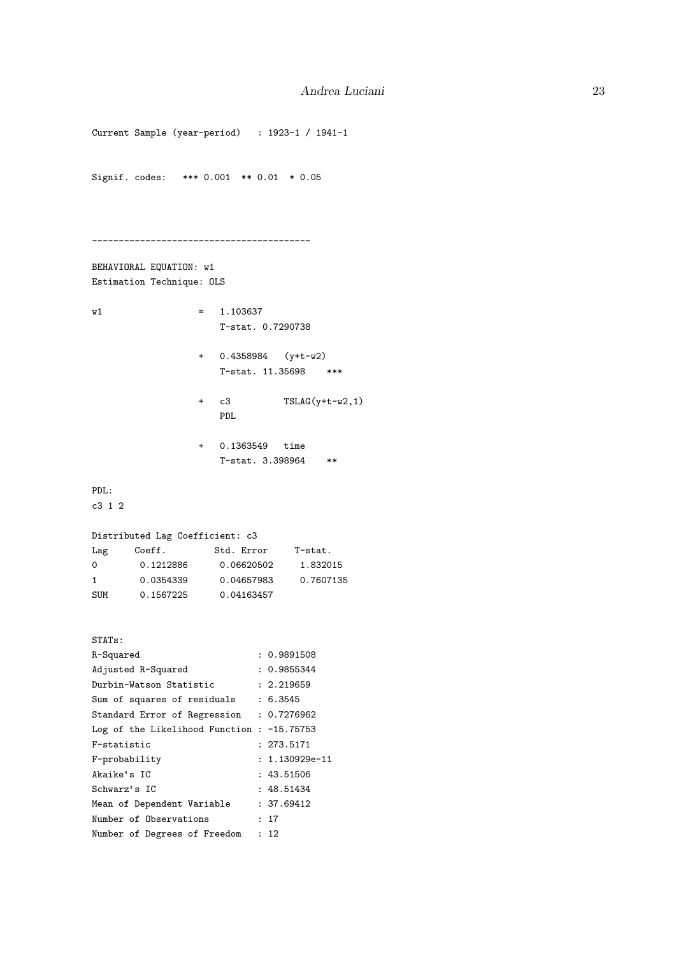```
Current Sample (year-period) : 1923-1 / 1941-1
Signif. codes: *** 0.001 ** 0.01 * 0.05
_________________________________________
BEHAVIORAL EQUATION: w1
Estimation Technique: OLS
w1 = 1.103637T-stat. 0.7290738
                + 0.4358984 (y+t-w2)
                   T-stat. 11.35698 ***
                + c3 TSLAG(y+t-w2,1)
                   PDL
                + 0.1363549 time
                   T-stat. 3.398964 **
PDL:
c3 1 2
Distributed Lag Coefficient: c3
Lag Coeff. Std. Error T-stat.
0 0.1212886 0.06620502 1.832015
1 0.0354339 0.04657983 0.7607135
SUM 0.1567225 0.04163457
STATs:
R-Squared : 0.9891508
Adjusted R-Squared : 0.9855344<br>Durbin-Watson Statistic : 2.219659
Durbin-Watson Statistic
Sum of squares of residuals : 6.3545
Standard Error of Regression : 0.7276962
Log of the Likelihood Function : -15.75753
F-statistic : 273.5171
F-probability : 1.130929e-11
Akaike's IC : 43.51506
Schwarz's IC : 48.51434
Mean of Dependent Variable : 37.69412
Number of Observations : 17
Number of Degrees of Freedom : 12
```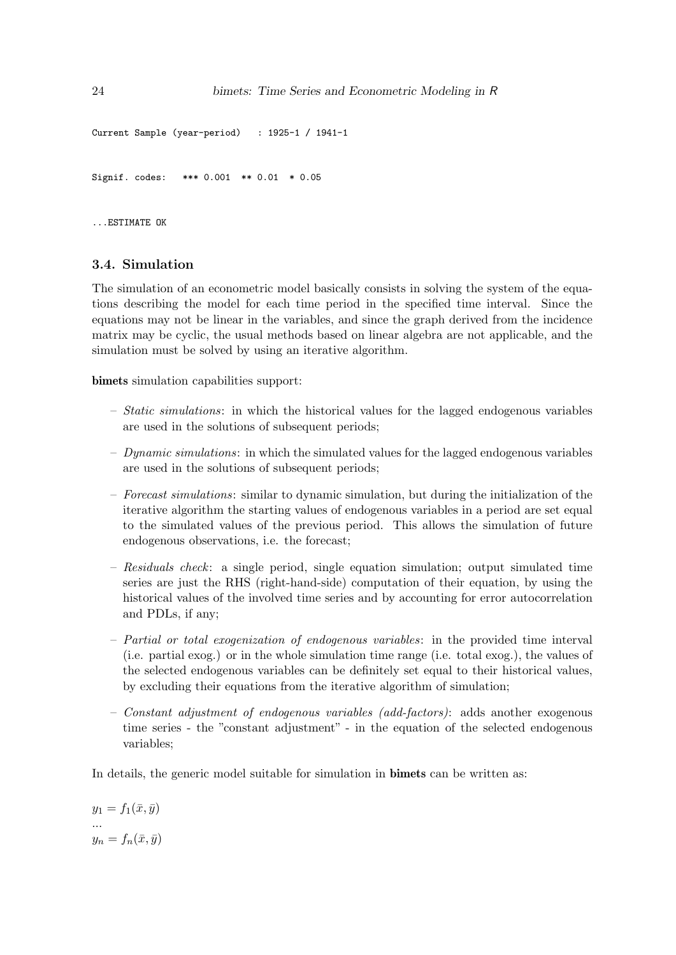```
Current Sample (year-period) : 1925-1 / 1941-1
Signif. codes: *** 0.001 ** 0.01 * 0.05
```
...ESTIMATE OK

## 3.4. Simulation

The simulation of an econometric model basically consists in solving the system of the equations describing the model for each time period in the specified time interval. Since the equations may not be linear in the variables, and since the graph derived from the incidence matrix may be cyclic, the usual methods based on linear algebra are not applicable, and the simulation must be solved by using an iterative algorithm.

bimets simulation capabilities support:

- $-$  *Static simulations*: in which the historical values for the lagged endogenous variables are used in the solutions of subsequent periods;
- $-$  Dynamic simulations: in which the simulated values for the lagged endogenous variables are used in the solutions of subsequent periods;
- Forecast simulations: similar to dynamic simulation, but during the initialization of the iterative algorithm the starting values of endogenous variables in a period are set equal to the simulated values of the previous period. This allows the simulation of future endogenous observations, i.e. the forecast;
- Residuals check: a single period, single equation simulation; output simulated time series are just the RHS (right-hand-side) computation of their equation, by using the historical values of the involved time series and by accounting for error autocorrelation and PDLs, if any;
- Partial or total exogenization of endogenous variables: in the provided time interval (i.e. partial exog.) or in the whole simulation time range (i.e. total exog.), the values of the selected endogenous variables can be definitely set equal to their historical values, by excluding their equations from the iterative algorithm of simulation;
- Constant adjustment of endogenous variables (add-factors): adds another exogenous time series - the "constant adjustment" - in the equation of the selected endogenous variables;

In details, the generic model suitable for simulation in bimets can be written as:

 $y_1 = f_1(\bar{x}, \bar{y})$ ...  $y_n = f_n(\bar{x}, \bar{y})$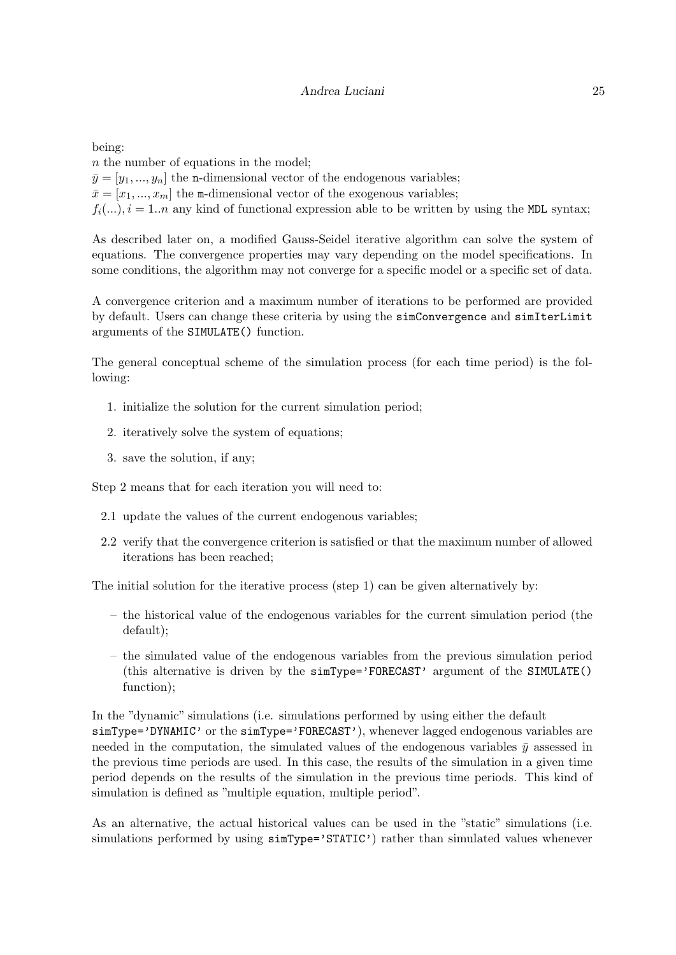being:

n the number of equations in the model;  $\bar{y} = [y_1, ..., y_n]$  the n-dimensional vector of the endogenous variables;  $\bar{x} = [x_1, ..., x_m]$  the m-dimensional vector of the exogenous variables;  $f_i(...), i = 1..n$  any kind of functional expression able to be written by using the MDL syntax;

As described later on, a modified Gauss-Seidel iterative algorithm can solve the system of equations. The convergence properties may vary depending on the model specifications. In some conditions, the algorithm may not converge for a specific model or a specific set of data.

A convergence criterion and a maximum number of iterations to be performed are provided by default. Users can change these criteria by using the simConvergence and simIterLimit arguments of the SIMULATE() function.

The general conceptual scheme of the simulation process (for each time period) is the following:

- 1. initialize the solution for the current simulation period;
- 2. iteratively solve the system of equations;
- 3. save the solution, if any;

Step 2 means that for each iteration you will need to:

- 2.1 update the values of the current endogenous variables;
- 2.2 verify that the convergence criterion is satisfied or that the maximum number of allowed iterations has been reached;

The initial solution for the iterative process (step 1) can be given alternatively by:

- the historical value of the endogenous variables for the current simulation period (the default);
- the simulated value of the endogenous variables from the previous simulation period (this alternative is driven by the simType='FORECAST' argument of the SIMULATE() function);

In the "dynamic" simulations (i.e. simulations performed by using either the default simType='DYNAMIC' or the simType='FORECAST'), whenever lagged endogenous variables are needed in the computation, the simulated values of the endogenous variables  $\bar{y}$  assessed in the previous time periods are used. In this case, the results of the simulation in a given time period depends on the results of the simulation in the previous time periods. This kind of simulation is defined as "multiple equation, multiple period".

As an alternative, the actual historical values can be used in the "static" simulations (i.e. simulations performed by using  $simType='STATIC'$ ) rather than simulated values whenever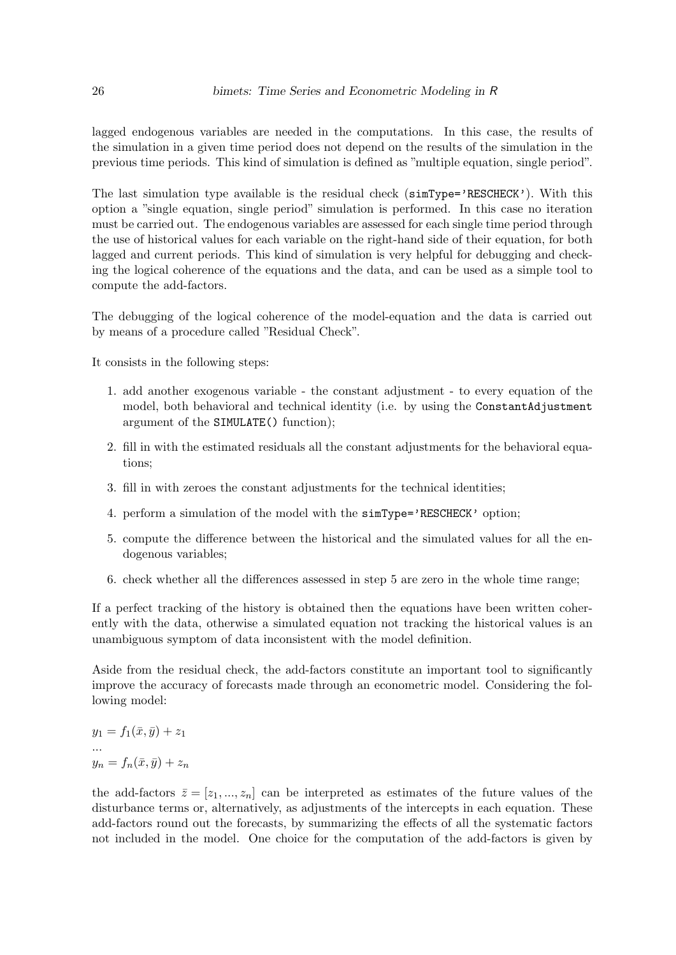lagged endogenous variables are needed in the computations. In this case, the results of the simulation in a given time period does not depend on the results of the simulation in the previous time periods. This kind of simulation is defined as "multiple equation, single period".

The last simulation type available is the residual check  $(\text{simType='RESCHECK'})$ . With this option a "single equation, single period" simulation is performed. In this case no iteration must be carried out. The endogenous variables are assessed for each single time period through the use of historical values for each variable on the right-hand side of their equation, for both lagged and current periods. This kind of simulation is very helpful for debugging and checking the logical coherence of the equations and the data, and can be used as a simple tool to compute the add-factors.

The debugging of the logical coherence of the model-equation and the data is carried out by means of a procedure called "Residual Check".

It consists in the following steps:

- 1. add another exogenous variable the constant adjustment to every equation of the model, both behavioral and technical identity (i.e. by using the ConstantAdjustment argument of the SIMULATE() function);
- 2. fill in with the estimated residuals all the constant adjustments for the behavioral equations;
- 3. fill in with zeroes the constant adjustments for the technical identities;
- 4. perform a simulation of the model with the simType='RESCHECK' option;
- 5. compute the difference between the historical and the simulated values for all the endogenous variables;
- 6. check whether all the differences assessed in step 5 are zero in the whole time range;

If a perfect tracking of the history is obtained then the equations have been written coherently with the data, otherwise a simulated equation not tracking the historical values is an unambiguous symptom of data inconsistent with the model definition.

Aside from the residual check, the add-factors constitute an important tool to significantly improve the accuracy of forecasts made through an econometric model. Considering the following model:

 $y_1 = f_1(\bar{x}, \bar{y}) + z_1$ ...  $y_n = f_n(\bar{x}, \bar{y}) + z_n$ 

the add-factors  $\bar{z} = [z_1, ..., z_n]$  can be interpreted as estimates of the future values of the disturbance terms or, alternatively, as adjustments of the intercepts in each equation. These add-factors round out the forecasts, by summarizing the effects of all the systematic factors not included in the model. One choice for the computation of the add-factors is given by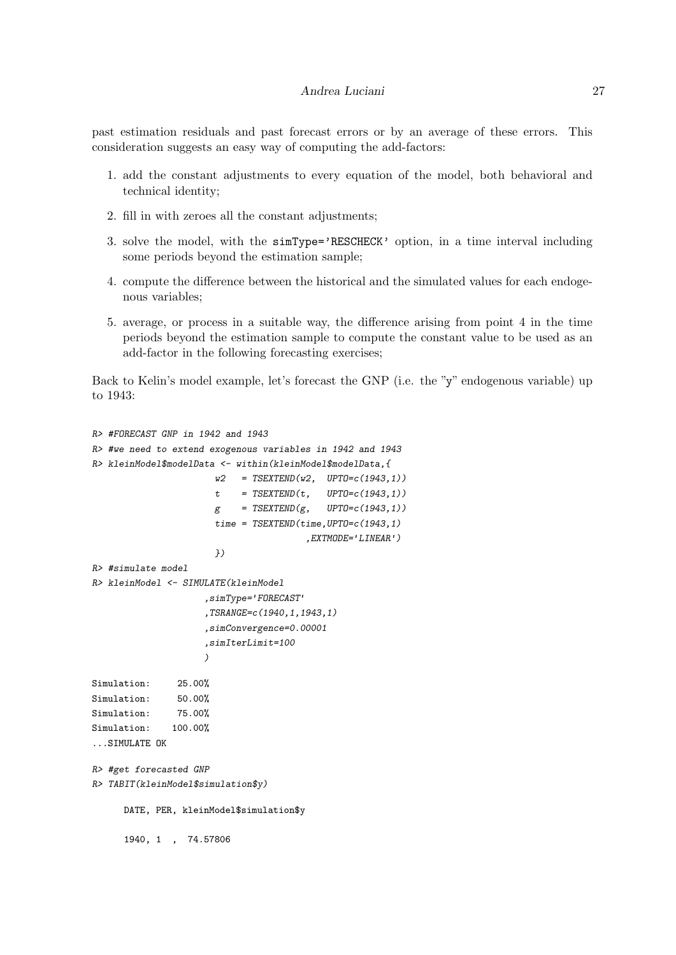#### Andrea Luciani 27

past estimation residuals and past forecast errors or by an average of these errors. This consideration suggests an easy way of computing the add-factors:

- 1. add the constant adjustments to every equation of the model, both behavioral and technical identity;
- 2. fill in with zeroes all the constant adjustments;
- 3. solve the model, with the simType='RESCHECK' option, in a time interval including some periods beyond the estimation sample;
- 4. compute the difference between the historical and the simulated values for each endogenous variables;
- 5. average, or process in a suitable way, the difference arising from point 4 in the time periods beyond the estimation sample to compute the constant value to be used as an add-factor in the following forecasting exercises;

Back to Kelin's model example, let's forecast the GNP (i.e. the "y" endogenous variable) up to 1943:

```
R> #FORECAST GNP in 1942 and 1943
R> #we need to extend exogenous variables in 1942 and 1943
R> kleinModel$modelData <- within(kleinModel$modelData,{
                      w2 = TSEXTEND(w2, UPTO=c(1943,1))t = TSEXTEND(t, UPT0=c(1943,1))g = TSEXTEND(g, UPTO=c(1943,1))time = TSEXTEND(time, UPTO=c(1943,1),EXTMODE='LINEAR')
                      })
R> #simulate model
R> kleinModel <- SIMULATE(kleinModel
                    ,simType='FORECAST'
                    ,TSRANGE=c(1940,1,1943,1)
                    ,simConvergence=0.00001
                    ,simIterLimit=100
                    )
Simulation: 25.00%
Simulation: 50.00%
Simulation: 75.00%
Simulation: 100.00%
...SIMULATE OK
R> #get forecasted GNP
R> TABIT(kleinModel$simulation$y)
      DATE, PER, kleinModel$simulation$y
      1940, 1 , 74.57806
```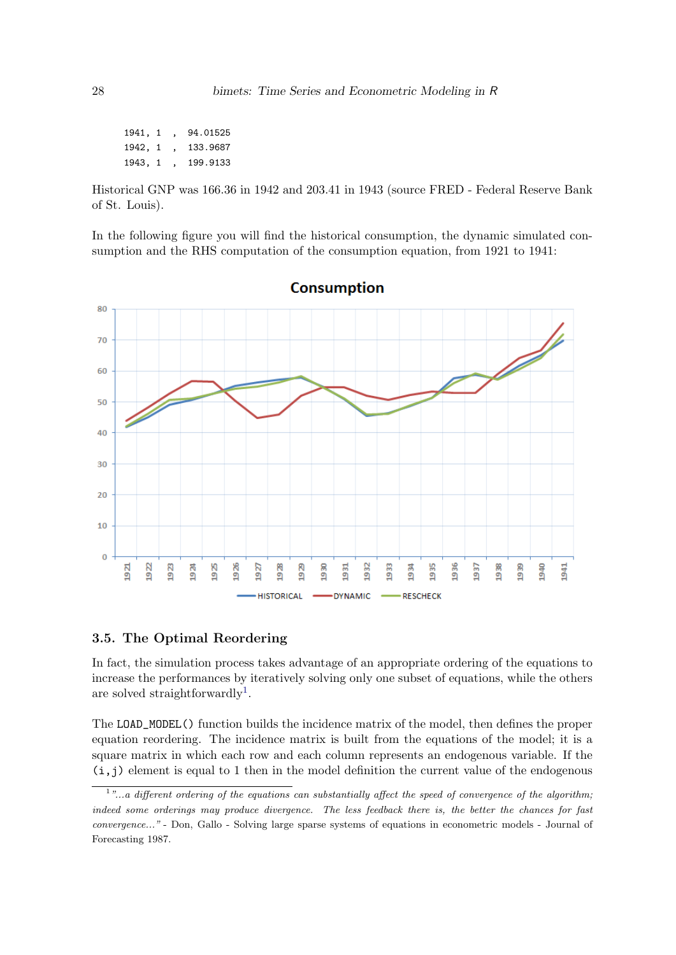1941, 1 , 94.01525 1942, 1 , 133.9687 1943, 1 , 199.9133

Historical GNP was 166.36 in 1942 and 203.41 in 1943 (source FRED - Federal Reserve Bank of St. Louis).

In the following figure you will find the historical consumption, the dynamic simulated consumption and the RHS computation of the consumption equation, from 1921 to 1941:



## 3.5. The Optimal Reordering

In fact, the simulation process takes advantage of an appropriate ordering of the equations to increase the performances by iteratively solving only one subset of equations, while the others are solved straightforwardly<sup>[1](#page-27-0)</sup>.

The LOAD\_MODEL() function builds the incidence matrix of the model, then defines the proper equation reordering. The incidence matrix is built from the equations of the model; it is a square matrix in which each row and each column represents an endogenous variable. If the  $(i, j)$  element is equal to 1 then in the model definition the current value of the endogenous

<span id="page-27-0"></span><sup>&</sup>lt;sup>1</sup>"...a different ordering of the equations can substantially affect the speed of convergence of the algorithm; indeed some orderings may produce divergence. The less feedback there is, the better the chances for fast convergence..." - Don, Gallo - Solving large sparse systems of equations in econometric models - Journal of Forecasting 1987.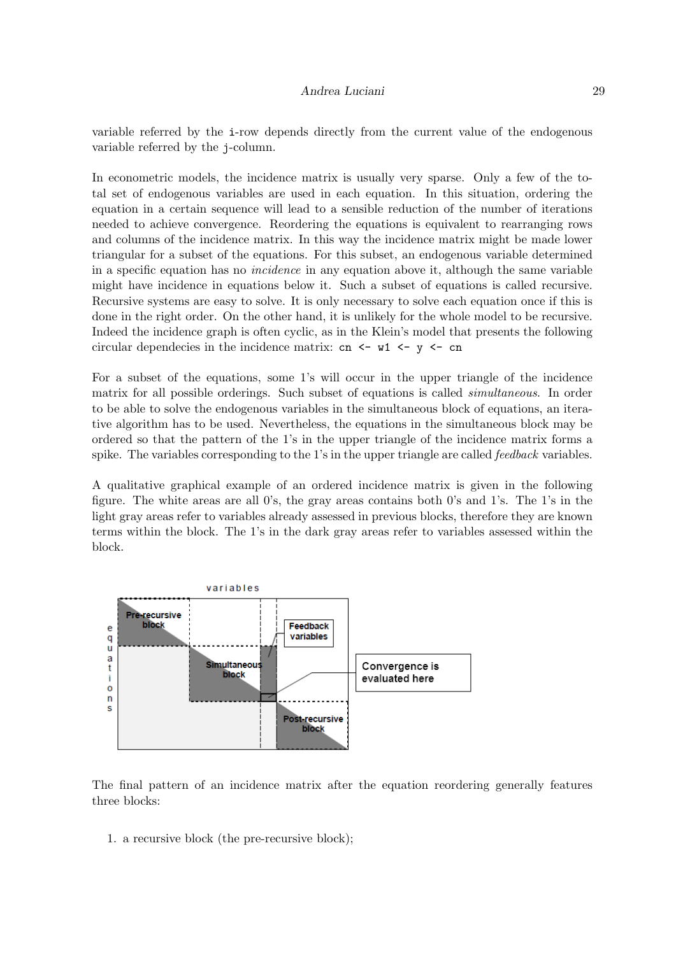## Andrea Luciani 29

variable referred by the i-row depends directly from the current value of the endogenous variable referred by the j-column.

In econometric models, the incidence matrix is usually very sparse. Only a few of the total set of endogenous variables are used in each equation. In this situation, ordering the equation in a certain sequence will lead to a sensible reduction of the number of iterations needed to achieve convergence. Reordering the equations is equivalent to rearranging rows and columns of the incidence matrix. In this way the incidence matrix might be made lower triangular for a subset of the equations. For this subset, an endogenous variable determined in a specific equation has no *incidence* in any equation above it, although the same variable might have incidence in equations below it. Such a subset of equations is called recursive. Recursive systems are easy to solve. It is only necessary to solve each equation once if this is done in the right order. On the other hand, it is unlikely for the whole model to be recursive. Indeed the incidence graph is often cyclic, as in the Klein's model that presents the following circular dependecies in the incidence matrix: cn  $\leq - \leq v \leq - \infty$ 

For a subset of the equations, some 1's will occur in the upper triangle of the incidence matrix for all possible orderings. Such subset of equations is called *simultaneous*. In order to be able to solve the endogenous variables in the simultaneous block of equations, an iterative algorithm has to be used. Nevertheless, the equations in the simultaneous block may be ordered so that the pattern of the 1's in the upper triangle of the incidence matrix forms a spike. The variables corresponding to the 1's in the upper triangle are called *feedback* variables.

A qualitative graphical example of an ordered incidence matrix is given in the following figure. The white areas are all 0's, the gray areas contains both 0's and 1's. The 1's in the light gray areas refer to variables already assessed in previous blocks, therefore they are known terms within the block. The 1's in the dark gray areas refer to variables assessed within the block.



The final pattern of an incidence matrix after the equation reordering generally features three blocks:

1. a recursive block (the pre-recursive block);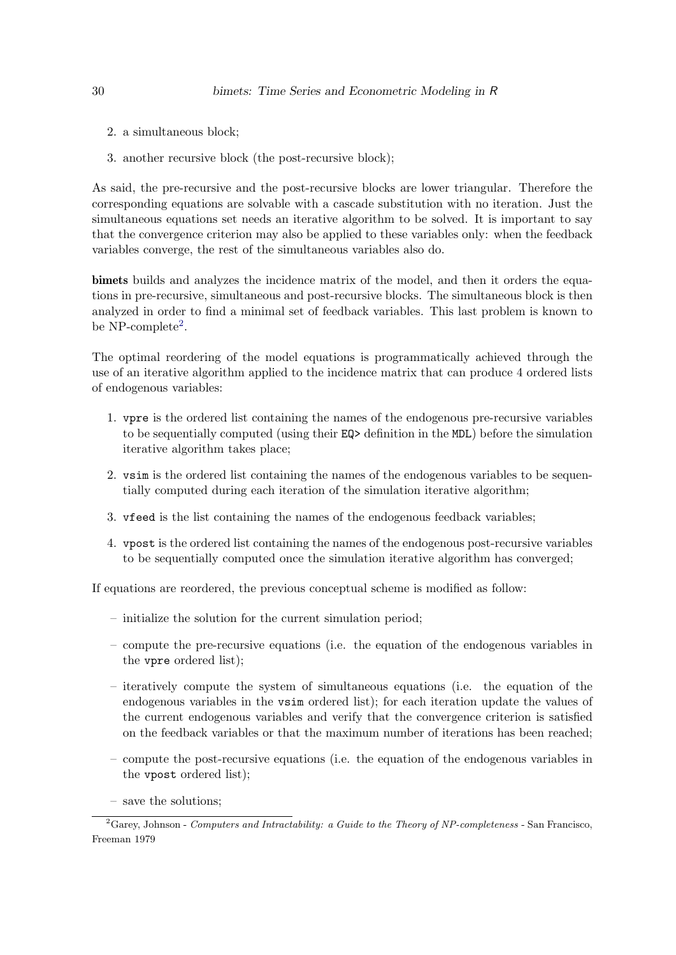- 2. a simultaneous block;
- 3. another recursive block (the post-recursive block);

As said, the pre-recursive and the post-recursive blocks are lower triangular. Therefore the corresponding equations are solvable with a cascade substitution with no iteration. Just the simultaneous equations set needs an iterative algorithm to be solved. It is important to say that the convergence criterion may also be applied to these variables only: when the feedback variables converge, the rest of the simultaneous variables also do.

bimets builds and analyzes the incidence matrix of the model, and then it orders the equations in pre-recursive, simultaneous and post-recursive blocks. The simultaneous block is then analyzed in order to find a minimal set of feedback variables. This last problem is known to be NP-complete<sup>[2](#page-29-0)</sup>.

The optimal reordering of the model equations is programmatically achieved through the use of an iterative algorithm applied to the incidence matrix that can produce 4 ordered lists of endogenous variables:

- 1. vpre is the ordered list containing the names of the endogenous pre-recursive variables to be sequentially computed (using their EQ> definition in the MDL) before the simulation iterative algorithm takes place;
- 2. vsim is the ordered list containing the names of the endogenous variables to be sequentially computed during each iteration of the simulation iterative algorithm;
- 3. vfeed is the list containing the names of the endogenous feedback variables;
- 4. vpost is the ordered list containing the names of the endogenous post-recursive variables to be sequentially computed once the simulation iterative algorithm has converged;

If equations are reordered, the previous conceptual scheme is modified as follow:

- initialize the solution for the current simulation period;
- compute the pre-recursive equations (i.e. the equation of the endogenous variables in the vpre ordered list);
- iteratively compute the system of simultaneous equations (i.e. the equation of the endogenous variables in the vsim ordered list); for each iteration update the values of the current endogenous variables and verify that the convergence criterion is satisfied on the feedback variables or that the maximum number of iterations has been reached;
- compute the post-recursive equations (i.e. the equation of the endogenous variables in the vpost ordered list);
- <span id="page-29-0"></span>– save the solutions;

 ${}^{2}$ Garey, Johnson - Computers and Intractability: a Guide to the Theory of NP-completeness - San Francisco, Freeman 1979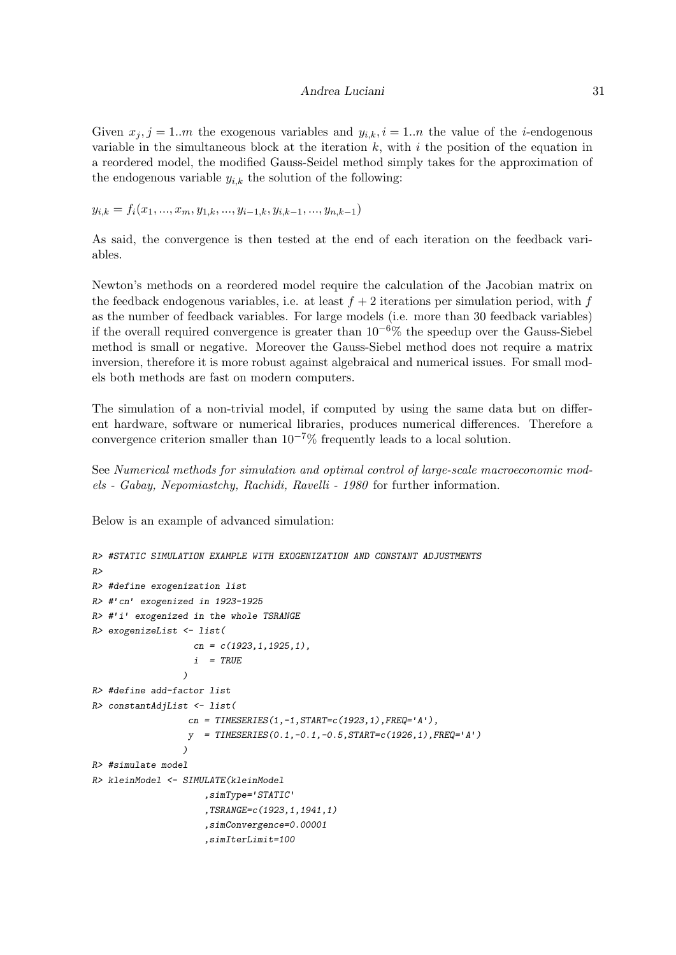#### Andrea Luciani 31

Given  $x_j$ ,  $j = 1..m$  the exogenous variables and  $y_{i,k}$ ,  $i = 1..n$  the value of the *i*-endogenous variable in the simultaneous block at the iteration  $k$ , with i the position of the equation in a reordered model, the modified Gauss-Seidel method simply takes for the approximation of the endogenous variable  $y_{i,k}$  the solution of the following:

 $y_{i,k} = f_i(x_1, ..., x_m, y_{1,k}, ..., y_{i-1,k}, y_{i,k-1}, ..., y_{n,k-1})$ 

As said, the convergence is then tested at the end of each iteration on the feedback variables.

Newton's methods on a reordered model require the calculation of the Jacobian matrix on the feedback endogenous variables, i.e. at least  $f + 2$  iterations per simulation period, with f as the number of feedback variables. For large models (i.e. more than 30 feedback variables) if the overall required convergence is greater than  $10^{-6}\%$  the speedup over the Gauss-Siebel method is small or negative. Moreover the Gauss-Siebel method does not require a matrix inversion, therefore it is more robust against algebraical and numerical issues. For small models both methods are fast on modern computers.

The simulation of a non-trivial model, if computed by using the same data but on different hardware, software or numerical libraries, produces numerical differences. Therefore a convergence criterion smaller than  $10^{-7}\%$  frequently leads to a local solution.

See Numerical methods for simulation and optimal control of large-scale macroeconomic models - Gabay, Nepomiastchy, Rachidi, Ravelli - 1980 for further information.

Below is an example of advanced simulation:

```
R> #STATIC SIMULATION EXAMPLE WITH EXOGENIZATION AND CONSTANT ADJUSTMENTS
R>R> #define exogenization list
R> #'cn' exogenized in 1923-1925
R> #'i' exogenized in the whole TSRANGE
R> exogenizeList <- list(
                   cn = c(1923, 1, 1925, 1),i = TRUE
                 )
R> #define add-factor list
R> constantAdjList <- list(
                  cn = TIMESERIES(1, -1, STATE = c(1923, 1), FREQ = 'A'),
                  y = TIMESERIES(0.1, -0.1, -0.5, STATE = c(1926, 1), FREQ = 'A'))
R> #simulate model
R> kleinModel <- SIMULATE(kleinModel
                      ,simType='STATIC'
                      ,TSRANGE=c(1923,1,1941,1)
                      ,simConvergence=0.00001
                      ,simIterLimit=100
```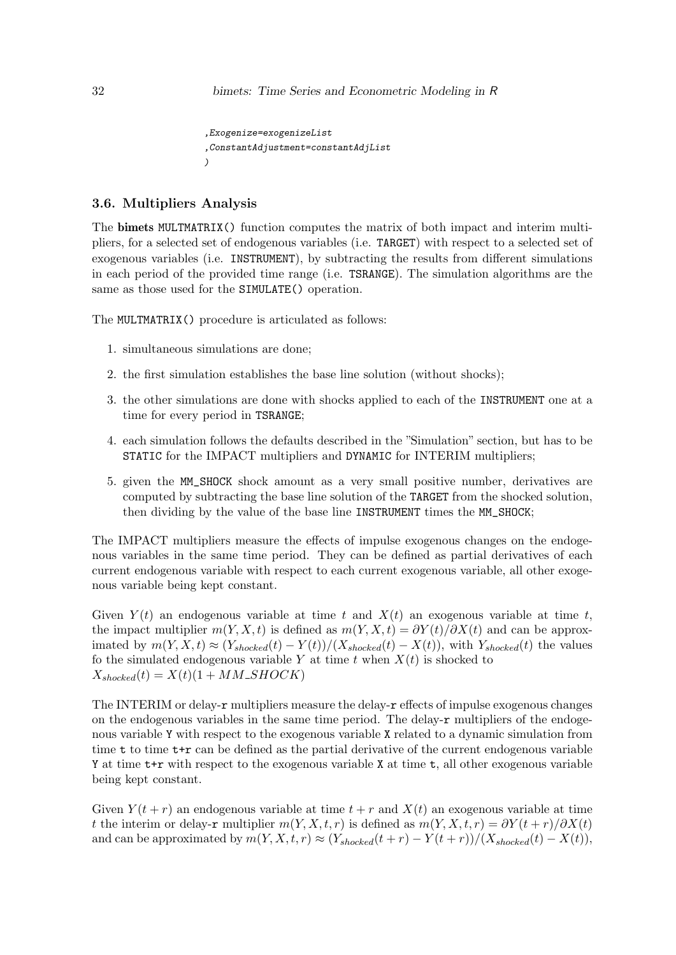```
,Exogenize=exogenizeList
,ConstantAdjustment=constantAdjList
)
```
## 3.6. Multipliers Analysis

The bimets MULTMATRIX() function computes the matrix of both impact and interim multipliers, for a selected set of endogenous variables (i.e. TARGET) with respect to a selected set of exogenous variables (i.e. INSTRUMENT), by subtracting the results from different simulations in each period of the provided time range (i.e. TSRANGE). The simulation algorithms are the same as those used for the SIMULATE() operation.

The MULTMATRIX() procedure is articulated as follows:

- 1. simultaneous simulations are done;
- 2. the first simulation establishes the base line solution (without shocks);
- 3. the other simulations are done with shocks applied to each of the INSTRUMENT one at a time for every period in TSRANGE;
- 4. each simulation follows the defaults described in the "Simulation" section, but has to be STATIC for the IMPACT multipliers and DYNAMIC for INTERIM multipliers;
- 5. given the MM\_SHOCK shock amount as a very small positive number, derivatives are computed by subtracting the base line solution of the TARGET from the shocked solution, then dividing by the value of the base line INSTRUMENT times the MM\_SHOCK;

The IMPACT multipliers measure the effects of impulse exogenous changes on the endogenous variables in the same time period. They can be defined as partial derivatives of each current endogenous variable with respect to each current exogenous variable, all other exogenous variable being kept constant.

Given  $Y(t)$  an endogenous variable at time t and  $X(t)$  an exogenous variable at time t, the impact multiplier  $m(Y, X, t)$  is defined as  $m(Y, X, t) = \frac{\partial Y(t)}{\partial X(t)}$  and can be approximated by  $m(Y, X, t) \approx (Y_{shocked}(t) - Y(t))/(X_{shacked}(t) - X(t)),$  with  $Y_{shacked}(t)$  the values fo the simulated endogenous variable Y at time t when  $X(t)$  is shocked to  $X_{shocked}(t) = X(t)(1 + MM\_SHOCK)$ 

The INTERIM or delay-r multipliers measure the delay-r effects of impulse exogenous changes on the endogenous variables in the same time period. The delay-r multipliers of the endogenous variable Y with respect to the exogenous variable X related to a dynamic simulation from time  $t$  to time  $t+r$  can be defined as the partial derivative of the current endogenous variable Y at time  $t+r$  with respect to the exogenous variable X at time t, all other exogenous variable being kept constant.

Given  $Y(t + r)$  an endogenous variable at time  $t + r$  and  $X(t)$  an exogenous variable at time t the interim or delay-r multiplier  $m(Y, X, t, r)$  is defined as  $m(Y, X, t, r) = \partial Y(t + r)/\partial X(t)$ and can be approximated by  $m(Y, X, t, r) \approx (Y_{shoked}(t + r) - Y(t + r))/(X_{shoked}(t) - X(t)),$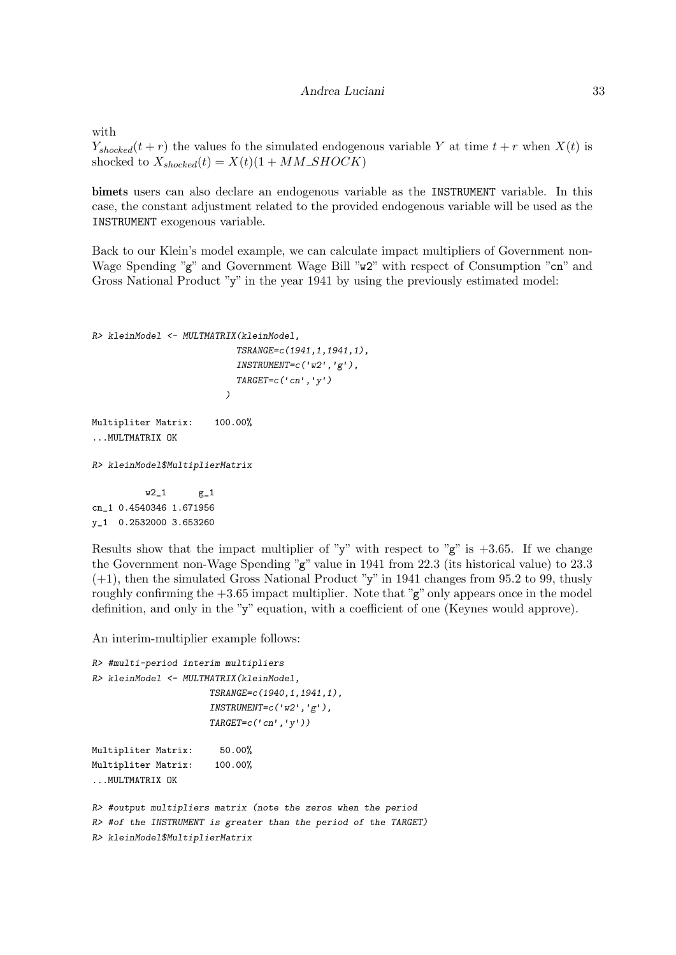with

 $Y_{shoked}(t + r)$  the values fo the simulated endogenous variable Y at time  $t + r$  when  $X(t)$  is shocked to  $X_{shocked}(t) = X(t)(1 + MM\_SHOCK)$ 

bimets users can also declare an endogenous variable as the INSTRUMENT variable. In this case, the constant adjustment related to the provided endogenous variable will be used as the INSTRUMENT exogenous variable.

Back to our Klein's model example, we can calculate impact multipliers of Government non-Wage Spending "g" and Government Wage Bill "w2" with respect of Consumption "cn" and Gross National Product "y" in the year 1941 by using the previously estimated model:

```
R> kleinModel <- MULTMATRIX(kleinModel,
                              TSRANGE=c(1941,1,1941,1),
                              \textit{INSTRUMENT=c('w2', 'g')}\textit{,}TARGET=c('cn', 'y'))
Multipliter Matrix: 100.00%
...MULTMATRIX OK
R> kleinModel$MultiplierMatrix
```
 $w2_1$   $g_1$ cn\_1 0.4540346 1.671956 y\_1 0.2532000 3.653260

Results show that the impact multiplier of "y" with respect to " $g$ " is  $+3.65$ . If we change the Government non-Wage Spending "g" value in 1941 from 22.3 (its historical value) to 23.3 (+1), then the simulated Gross National Product "y" in 1941 changes from 95.2 to 99, thusly roughly confirming the  $+3.65$  impact multiplier. Note that " $g$ " only appears once in the model definition, and only in the "y" equation, with a coefficient of one (Keynes would approve).

An interim-multiplier example follows:

```
R> #multi-period interim multipliers
R> kleinModel <- MULTMATRIX(kleinModel,
                      TSRANGE=c(1940,1,1941,1),
                      INSTRUMENT=c('w2', 'g').TARGET=c('cn', 'y'))Multipliter Matrix: 50.00%
Multipliter Matrix: 100.00%
...MULTMATRIX OK
R> #output multipliers matrix (note the zeros when the period
```

```
R> #of the INSTRUMENT is greater than the period of the TARGET)
R> kleinModel$MultiplierMatrix
```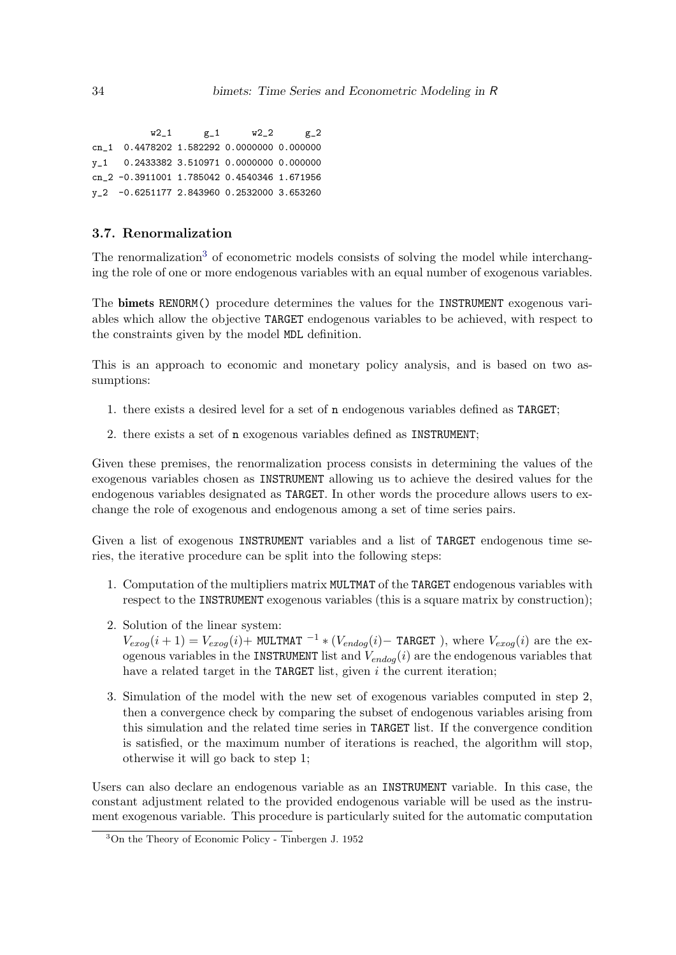$w2_1$  g\_1  $w2_2$  g\_2 cn\_1 0.4478202 1.582292 0.0000000 0.000000 y\_1 0.2433382 3.510971 0.0000000 0.000000 cn\_2 -0.3911001 1.785042 0.4540346 1.671956 y\_2 -0.6251177 2.843960 0.2532000 3.653260

## 3.7. Renormalization

The renormalization<sup>[3](#page-33-0)</sup> of econometric models consists of solving the model while interchanging the role of one or more endogenous variables with an equal number of exogenous variables.

The bimets RENORM() procedure determines the values for the INSTRUMENT exogenous variables which allow the objective TARGET endogenous variables to be achieved, with respect to the constraints given by the model MDL definition.

This is an approach to economic and monetary policy analysis, and is based on two assumptions:

- 1. there exists a desired level for a set of n endogenous variables defined as TARGET;
- 2. there exists a set of n exogenous variables defined as INSTRUMENT;

Given these premises, the renormalization process consists in determining the values of the exogenous variables chosen as INSTRUMENT allowing us to achieve the desired values for the endogenous variables designated as TARGET. In other words the procedure allows users to exchange the role of exogenous and endogenous among a set of time series pairs.

Given a list of exogenous INSTRUMENT variables and a list of TARGET endogenous time series, the iterative procedure can be split into the following steps:

- 1. Computation of the multipliers matrix MULTMAT of the TARGET endogenous variables with respect to the INSTRUMENT exogenous variables (this is a square matrix by construction);
- 2. Solution of the linear system:

 $V_{exog}(i+1) = V_{exog}(i)$ + MULTMAT <sup>-1</sup> \* ( $V_{endog}(i)$ - TARGET), where  $V_{exog}(i)$  are the exogenous variables in the INSTRUMENT list and  $V_{endog}(i)$  are the endogenous variables that have a related target in the TARGET list, given  $i$  the current iteration;

3. Simulation of the model with the new set of exogenous variables computed in step 2, then a convergence check by comparing the subset of endogenous variables arising from this simulation and the related time series in TARGET list. If the convergence condition is satisfied, or the maximum number of iterations is reached, the algorithm will stop, otherwise it will go back to step 1;

Users can also declare an endogenous variable as an INSTRUMENT variable. In this case, the constant adjustment related to the provided endogenous variable will be used as the instrument exogenous variable. This procedure is particularly suited for the automatic computation

<span id="page-33-0"></span><sup>3</sup>On the Theory of Economic Policy - Tinbergen J. 1952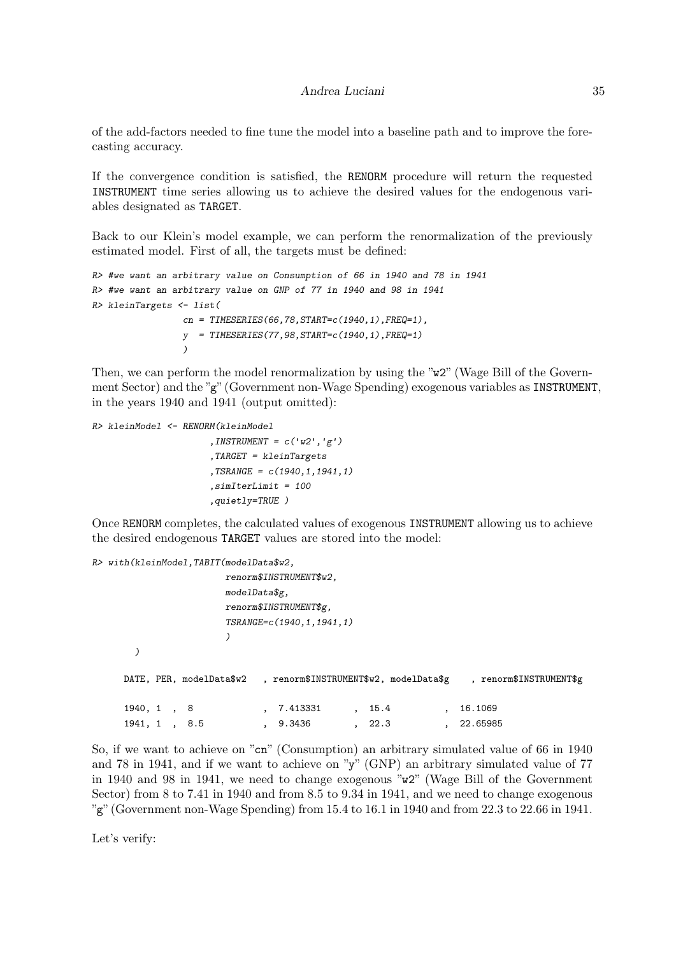of the add-factors needed to fine tune the model into a baseline path and to improve the forecasting accuracy.

If the convergence condition is satisfied, the RENORM procedure will return the requested INSTRUMENT time series allowing us to achieve the desired values for the endogenous variables designated as TARGET.

Back to our Klein's model example, we can perform the renormalization of the previously estimated model. First of all, the targets must be defined:

```
R> #we want an arbitrary value on Consumption of 66 in 1940 and 78 in 1941
R> #we want an arbitrary value on GNP of 77 in 1940 and 98 in 1941
R> kleinTargets <- list(
                 cn = TIMESERIES(66, 78, START=c(1940, 1), FREQ=1),y = TIMESERIES (77, 98, START = c (1940, 1), FREQ=1))
```
Then, we can perform the model renormalization by using the "w2" (Wage Bill of the Government Sector) and the "g" (Government non-Wage Spending) exogenous variables as INSTRUMENT, in the years 1940 and 1941 (output omitted):

```
R> kleinModel <- RENORM(kleinModel
                       , INSTRUMENT = c('w2', 'g'),TARGET = kleinTargets
                       ,TSRANGE = c(1940, 1, 1941, 1),simIterLimit = 100
                       ,quietly=TRUE )
```
Once RENORM completes, the calculated values of exogenous INSTRUMENT allowing us to achieve the desired endogenous TARGET values are stored into the model:

```
R> with(kleinModel,TABIT(modelData$w2,
                    renorm$INSTRUMENT$w2,
                    modelData$g,
                    renorm$INSTRUMENT$g,
                    TSRANGE=c(1940,1,1941,1)
                    )
      )
     DATE, PER, modelData$w2 , renorm$INSTRUMENT$w2, modelData$g , renorm$INSTRUMENT$g
     1940, 1, 8 , 7.413331 , 15.4 , 16.1069
     1941, 1 , 8.5 , 9.3436 , 22.3 , 22.65985
```
So, if we want to achieve on "cn" (Consumption) an arbitrary simulated value of 66 in 1940 and 78 in 1941, and if we want to achieve on "y" (GNP) an arbitrary simulated value of 77 in 1940 and 98 in 1941, we need to change exogenous "w2" (Wage Bill of the Government Sector) from 8 to 7.41 in 1940 and from 8.5 to 9.34 in 1941, and we need to change exogenous "g" (Government non-Wage Spending) from  $15.4$  to  $16.1$  in  $1940$  and from  $22.3$  to  $22.66$  in  $1941$ .

Let's verify: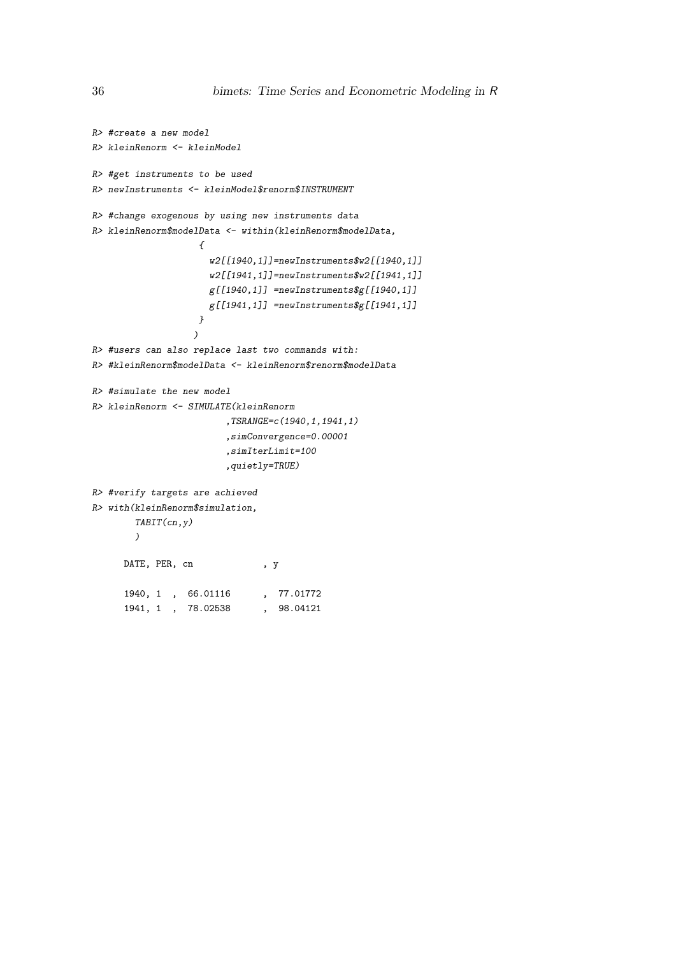```
R> #create a new model
R> kleinRenorm <- kleinModel
R> #get instruments to be used
R> newInstruments <- kleinModel$renorm$INSTRUMENT
R> #change exogenous by using new instruments data
R> kleinRenorm$modelData <- within(kleinRenorm$modelData,
                   {
                     w2[[1940,1]]=newInstruments$w2[[1940,1]]
                     w2[[1941,1]]=newInstruments$w2[[1941,1]]
                     g[[1940,1]] =newInstruments$g[[1940,1]]
                     g[[1941,1]] =newInstruments$g[[1941,1]]}
                  )
R> #users can also replace last two commands with:
R> #kleinRenorm$modelData <- kleinRenorm$renorm$modelData
R> #simulate the new model
R> kleinRenorm <- SIMULATE(kleinRenorm
                        ,TSRANGE=c(1940,1,1941,1)
                        ,simConvergence=0.00001
                        ,simIterLimit=100
                        ,quietly=TRUE)
R> #verify targets are achieved
R> with(kleinRenorm$simulation,
       TABIT(cn,y)
        )
     DATE, PER, cn , y
     1940, 1 , 66.01116 , 77.01772
     1941, 1 , 78.02538 , 98.04121
```